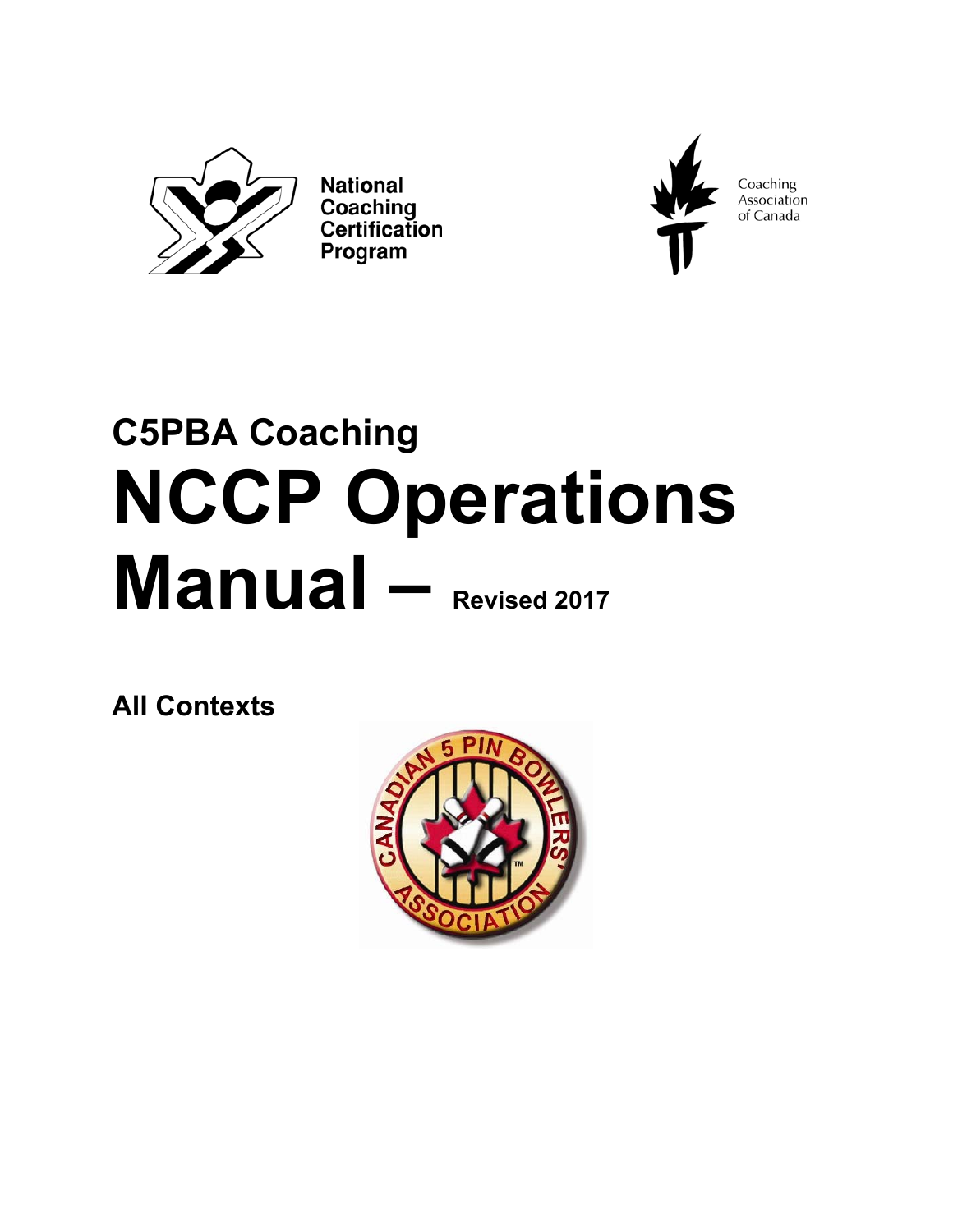

**National** Coaching Certification Program



Coaching<br>Association of Canada

# **C5PBA Coaching NCCP Operations Manual – Revised 2017**

**All Contexts** 

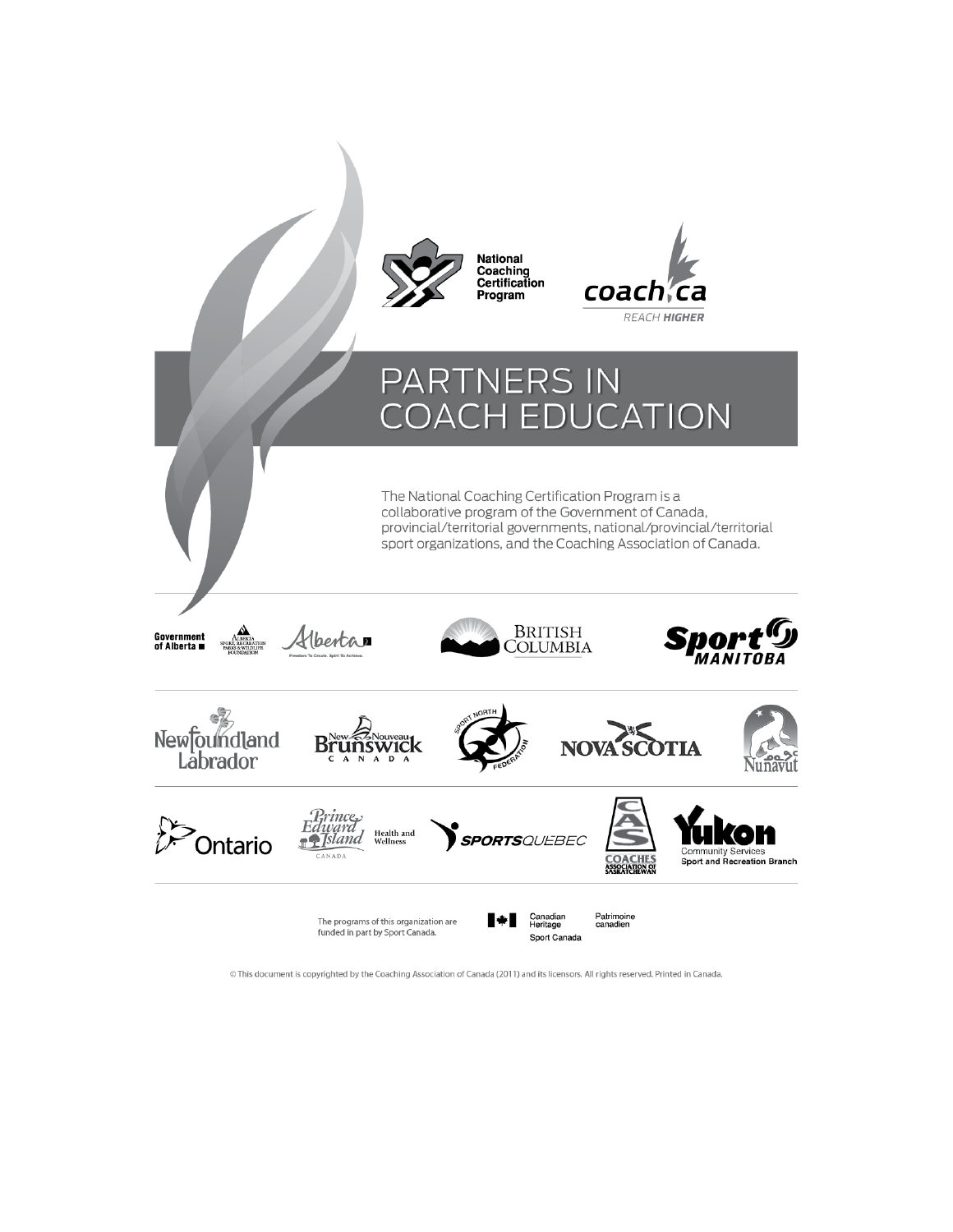

© This document is copyrighted by the Coaching Association of Canada (2011) and its licensors. All rights reserved. Printed in Canada.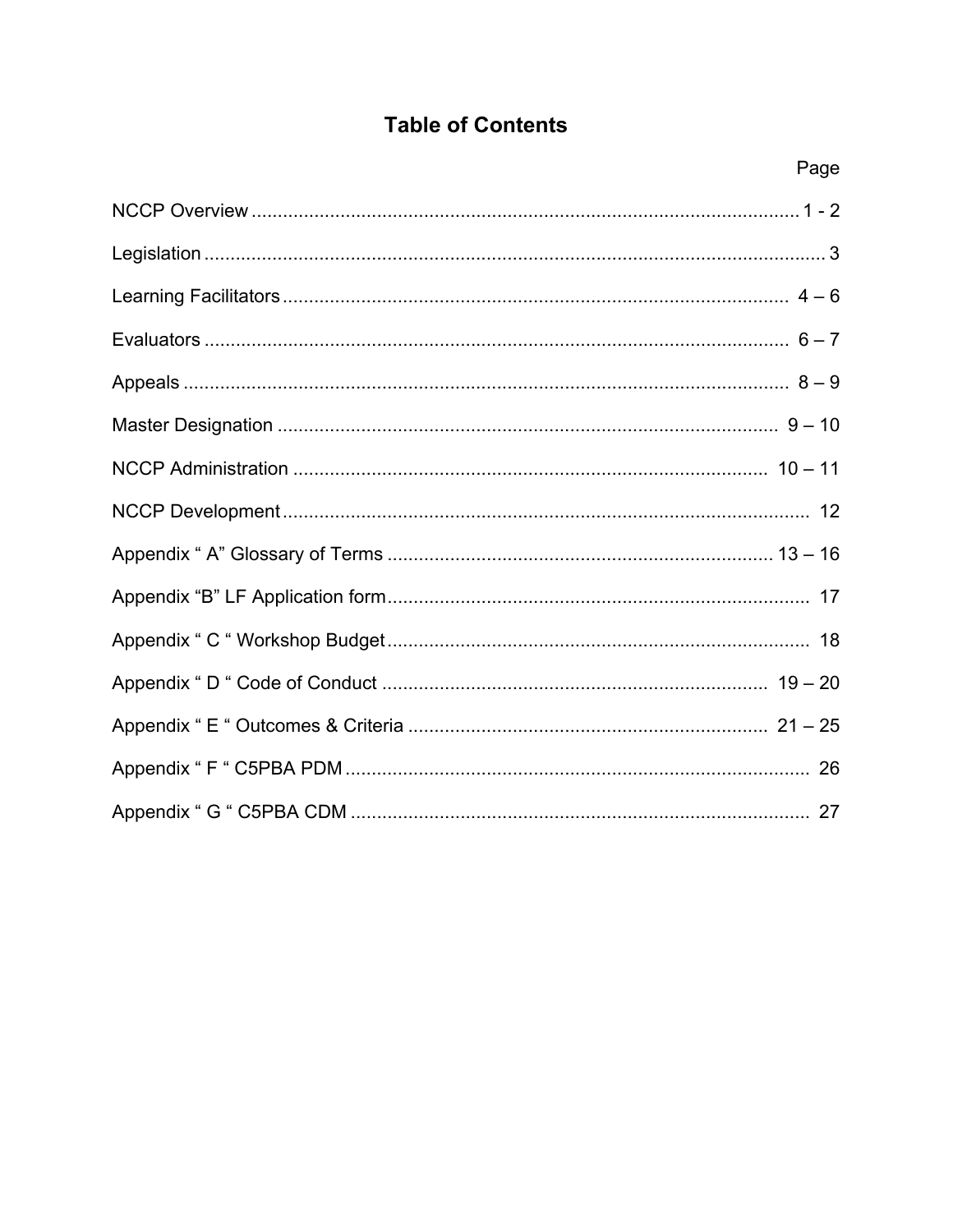## **Table of Contents**

| Page |
|------|
|      |
|      |
|      |
|      |
|      |
|      |
|      |
|      |
|      |
|      |
|      |
|      |
|      |
|      |
|      |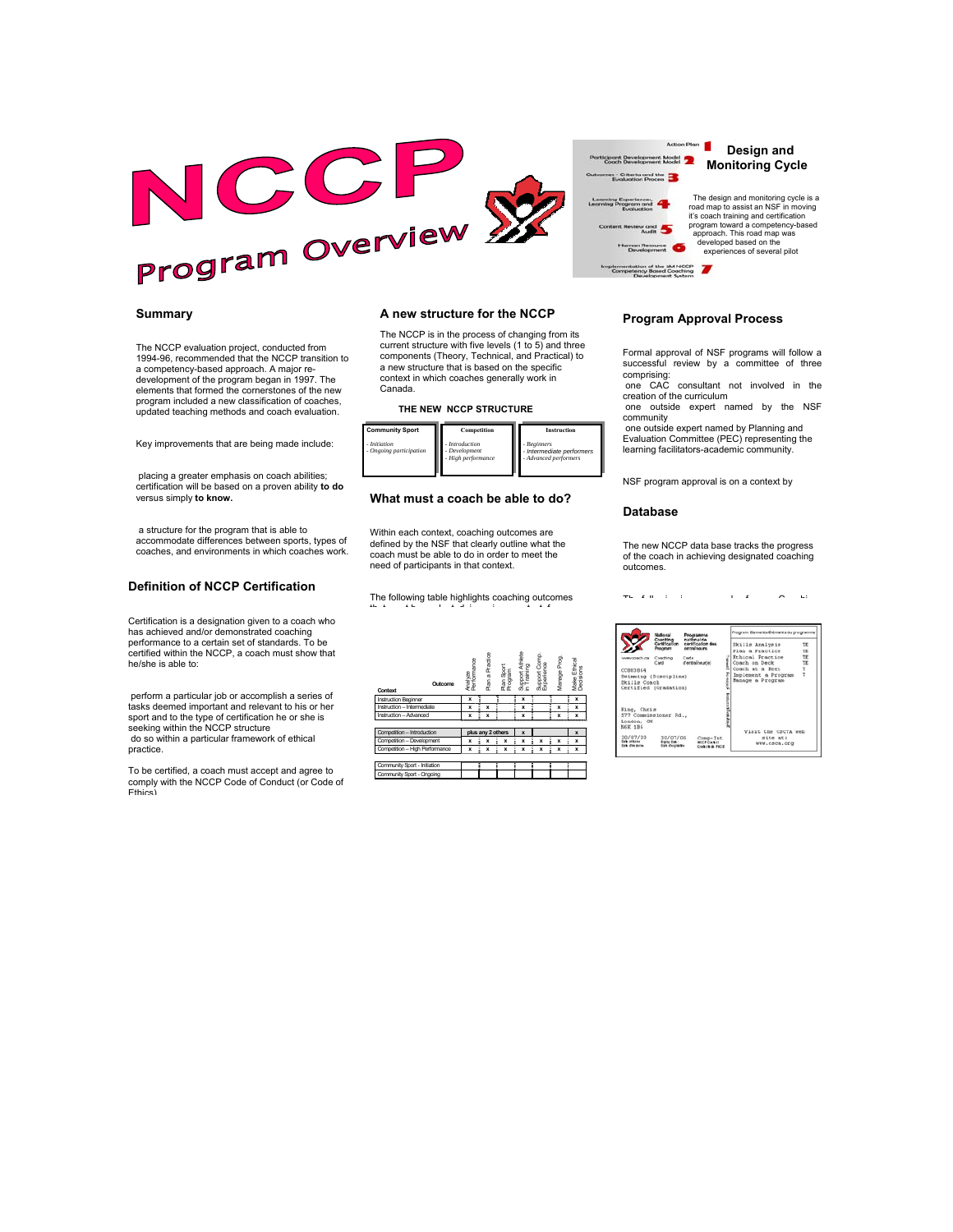

#### **Summary**

The NCCP evaluation project, conducted from 1994-96, recommended that the NCCP transition to a competency-based approach. A major redevelopment of the program began in 1997. The elements that formed the cornerstones of the new program included a new classification of coaches, updated teaching methods and coach evaluation.

Key improvements that are being made include:

 placing a greater emphasis on coach abilities; certification will be based on a proven ability **to do** versus simply **to know.**

 a structure for the program that is able to accommodate differences between sports, types of coaches, and environments in which coaches work.

#### **Definition of NCCP Certification**

Certification is a designation given to a coach who has achieved and/or demonstrated coaching performance to a certain set of standards. To be certified within the NCCP, a coach must show that he/she is able to:

 perform a particular job or accomplish a series of tasks deemed important and relevant to his or her sport and to the type of certification he or she is seeking within the NCCP structure do so within a particular framework of ethical practice.

 To be certified, a coach must accept and agree to comply with the NCCP Code of Conduct (or Code of Ethics)

#### **A new structure for the NCCP**

 The NCCP is in the process of changing from its current structure with five levels (1 to 5) and three components (Theory, Technical, and Practical) to a new structure that is based on the specific context in which coaches generally work in Canada.

#### **THE NEW NCCP STRUCTURE**



#### **What must a coach be able to do?**

Within each context, coaching outcomes are defined by the NSF that clearly outline what the coach must be able to do in order to meet the need of participants in that context.

The following table highlights coaching outcomes th t t b l t d i i t t f

| Outcome<br>Context             | Analyze<br>Performance |   | Practice<br>Plana | Plan Sport<br>Program | Support Athlete<br>in Training | Support Comp.<br>Experience | Manage Prog. | Make Ethical<br>Dedsions |
|--------------------------------|------------------------|---|-------------------|-----------------------|--------------------------------|-----------------------------|--------------|--------------------------|
| <b>Instruction Beginner</b>    | x                      |   |                   |                       | x                              |                             |              | x                        |
| Instruction - Intermediate     | x                      |   | x                 |                       | x                              |                             | x            | x                        |
| Instruction - Advanced         | x                      |   | x                 |                       | x                              |                             | x            | x                        |
|                                |                        |   |                   |                       |                                |                             |              |                          |
| Competition - Introduction     |                        |   |                   | plus any 2 others     | X                              |                             |              | $\mathbf{x}$             |
| Competition - Development      | x                      | i | x                 | x                     | x                              | ŧ<br>x                      | ŧ<br>x       | x                        |
| Competition - High Performance | x                      | ŧ | x                 | i<br>x                | x                              | i<br>x                      | Ĩ<br>x       | i<br>x                   |
|                                |                        |   |                   |                       |                                |                             |              |                          |
| Community Sport - Initiation   |                        |   |                   |                       |                                |                             |              |                          |
| Community Sport - Ongoing      |                        |   |                   |                       |                                |                             |              |                          |

**Program Approval Process** 

Action Plan

es - Criteria and the ting Experiences,<br>Ing Program and<br>Evaluation w and Human Resource mplementation of the SM NCCP<br>Competency Based Coaching

> Formal approval of NSF programs will follow a successful review by a committee of three

 **Design and Monitoring Cycle** 

 The design and monitoring cycle is a road map to assist an NSF in moving<br>it's coach training and certification<br>program toward a competency-based<br>approach. This road map was<br>developed based on the experiences of several pilot

comprising: one CAC consultant not involved in the creation of the curriculum one outside expert named by the NSF

community one outside expert named by Planning and

Evaluation Committee (PEC) representing the learning facilitators-academic community.

NSF program approval is on a context by

#### **Database**

The new NCCP data base tracks the progress of the coach in achieving designated coaching outcomes.

The first contract of the contract of the contract of the contract of the contract of the contract of the contract of the contract of the contract of the contract of the contract of the contract of the contract of the cont

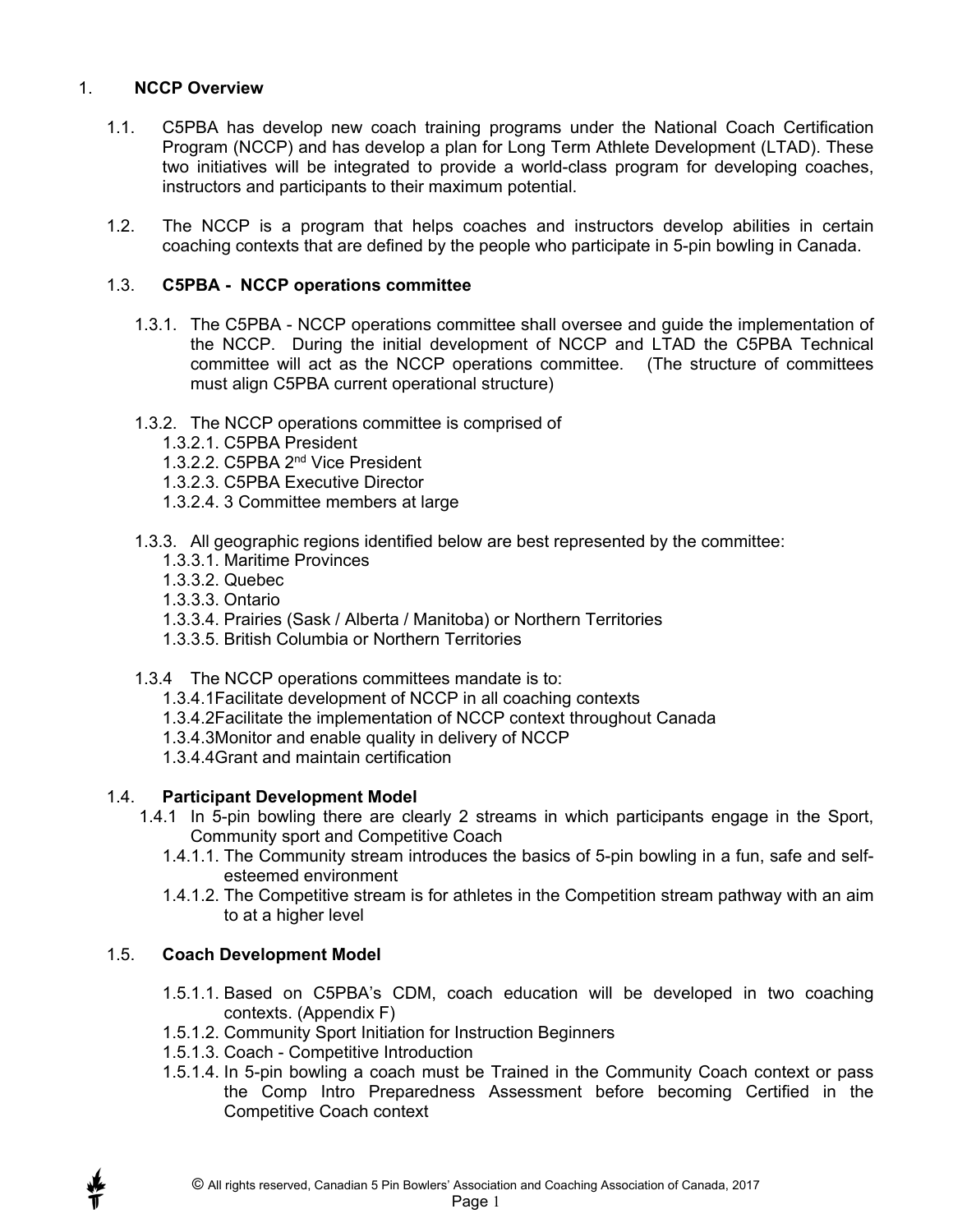#### 1. **NCCP Overview**

- 1.1. C5PBA has develop new coach training programs under the National Coach Certification Program (NCCP) and has develop a plan for Long Term Athlete Development (LTAD). These two initiatives will be integrated to provide a world-class program for developing coaches, instructors and participants to their maximum potential.
- 1.2. The NCCP is a program that helps coaches and instructors develop abilities in certain coaching contexts that are defined by the people who participate in 5-pin bowling in Canada.

#### 1.3. **C5PBA - NCCP operations committee**

- 1.3.1. The C5PBA NCCP operations committee shall oversee and guide the implementation of the NCCP. During the initial development of NCCP and LTAD the C5PBA Technical committee will act as the NCCP operations committee. (The structure of committees must align C5PBA current operational structure)
- 1.3.2. The NCCP operations committee is comprised of
	- 1.3.2.1. C5PBA President
	- 1.3.2.2. C5PBA 2nd Vice President
	- 1.3.2.3. C5PBA Executive Director
	- 1.3.2.4. 3 Committee members at large
- 1.3.3. All geographic regions identified below are best represented by the committee:
	- 1.3.3.1. Maritime Provinces
	- 1.3.3.2. Quebec
	- 1.3.3.3. Ontario
	- 1.3.3.4. Prairies (Sask / Alberta / Manitoba) or Northern Territories
	- 1.3.3.5. British Columbia or Northern Territories
- 1.3.4 The NCCP operations committees mandate is to:
	- 1.3.4.1Facilitate development of NCCP in all coaching contexts
	- 1.3.4.2Facilitate the implementation of NCCP context throughout Canada
	- 1.3.4.3Monitor and enable quality in delivery of NCCP
	- 1.3.4.4Grant and maintain certification

#### 1.4. **Participant Development Model**

- 1.4.1 In 5-pin bowling there are clearly 2 streams in which participants engage in the Sport, Community sport and Competitive Coach
	- 1.4.1.1. The Community stream introduces the basics of 5-pin bowling in a fun, safe and selfesteemed environment
	- 1.4.1.2. The Competitive stream is for athletes in the Competition stream pathway with an aim to at a higher level

#### 1.5. **Coach Development Model**

- 1.5.1.1. Based on C5PBA's CDM, coach education will be developed in two coaching contexts. (Appendix F)
- 1.5.1.2. Community Sport Initiation for Instruction Beginners
- 1.5.1.3. Coach Competitive Introduction
- 1.5.1.4. In 5-pin bowling a coach must be Trained in the Community Coach context or pass the Comp Intro Preparedness Assessment before becoming Certified in the Competitive Coach context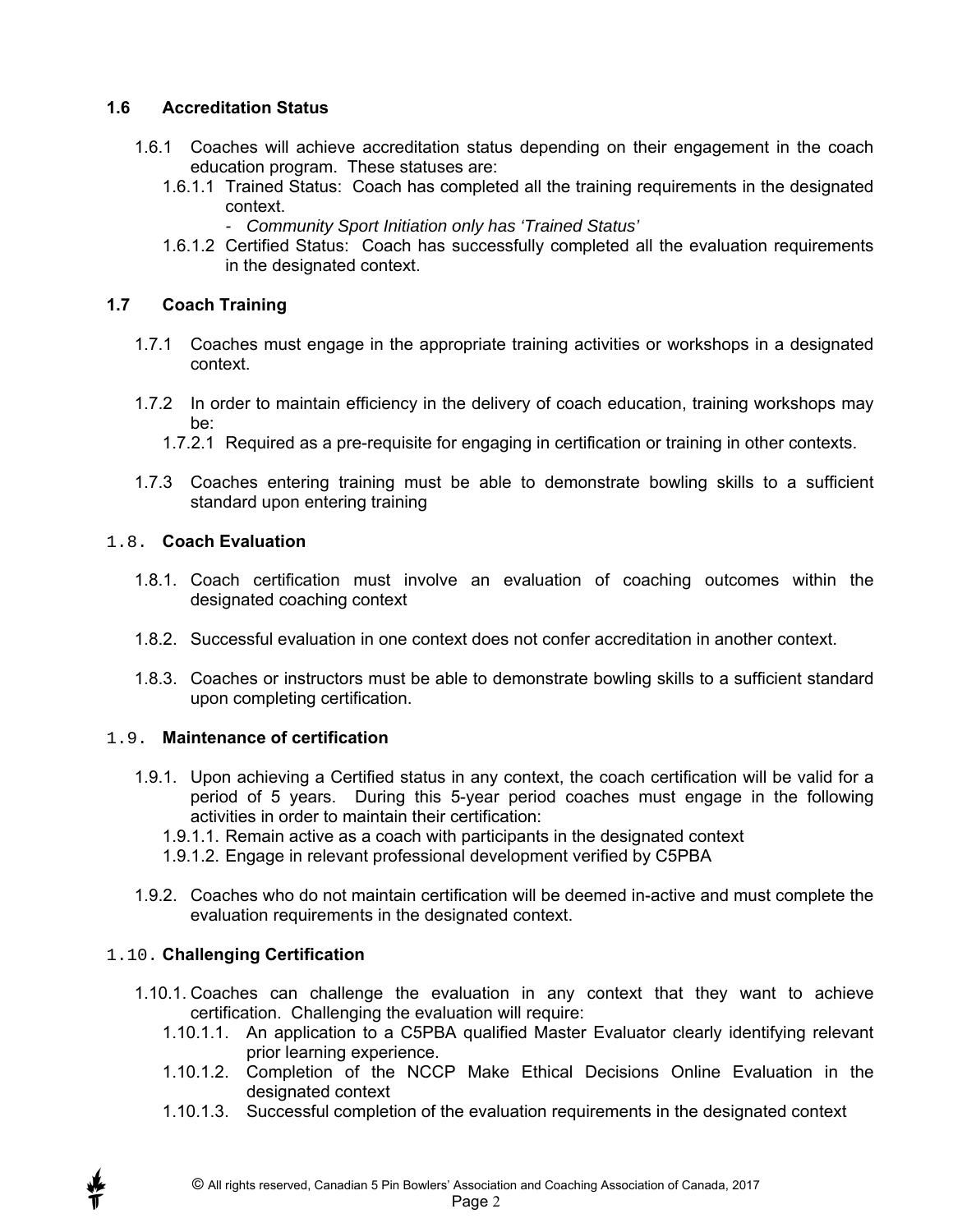#### **1.6 Accreditation Status**

- 1.6.1 Coaches will achieve accreditation status depending on their engagement in the coach education program. These statuses are:
	- 1.6.1.1 Trained Status: Coach has completed all the training requirements in the designated context.
		- *Community Sport Initiation only has 'Trained Status'*
	- 1.6.1.2 Certified Status: Coach has successfully completed all the evaluation requirements in the designated context.

#### **1.7 Coach Training**

- 1.7.1 Coaches must engage in the appropriate training activities or workshops in a designated context.
- 1.7.2 In order to maintain efficiency in the delivery of coach education, training workshops may be:
	- 1.7.2.1 Required as a pre-requisite for engaging in certification or training in other contexts.
- 1.7.3 Coaches entering training must be able to demonstrate bowling skills to a sufficient standard upon entering training

#### 1.8. **Coach Evaluation**

- 1.8.1. Coach certification must involve an evaluation of coaching outcomes within the designated coaching context
- 1.8.2. Successful evaluation in one context does not confer accreditation in another context.
- 1.8.3. Coaches or instructors must be able to demonstrate bowling skills to a sufficient standard upon completing certification.

#### 1.9. **Maintenance of certification**

- 1.9.1. Upon achieving a Certified status in any context, the coach certification will be valid for a period of 5 years. During this 5-year period coaches must engage in the following activities in order to maintain their certification:
	- 1.9.1.1. Remain active as a coach with participants in the designated context
	- 1.9.1.2. Engage in relevant professional development verified by C5PBA
- 1.9.2. Coaches who do not maintain certification will be deemed in-active and must complete the evaluation requirements in the designated context.

#### 1.10. **Challenging Certification**

- 1.10.1. Coaches can challenge the evaluation in any context that they want to achieve certification. Challenging the evaluation will require:
	- 1.10.1.1. An application to a C5PBA qualified Master Evaluator clearly identifying relevant prior learning experience.
	- 1.10.1.2. Completion of the NCCP Make Ethical Decisions Online Evaluation in the designated context
	- 1.10.1.3. Successful completion of the evaluation requirements in the designated context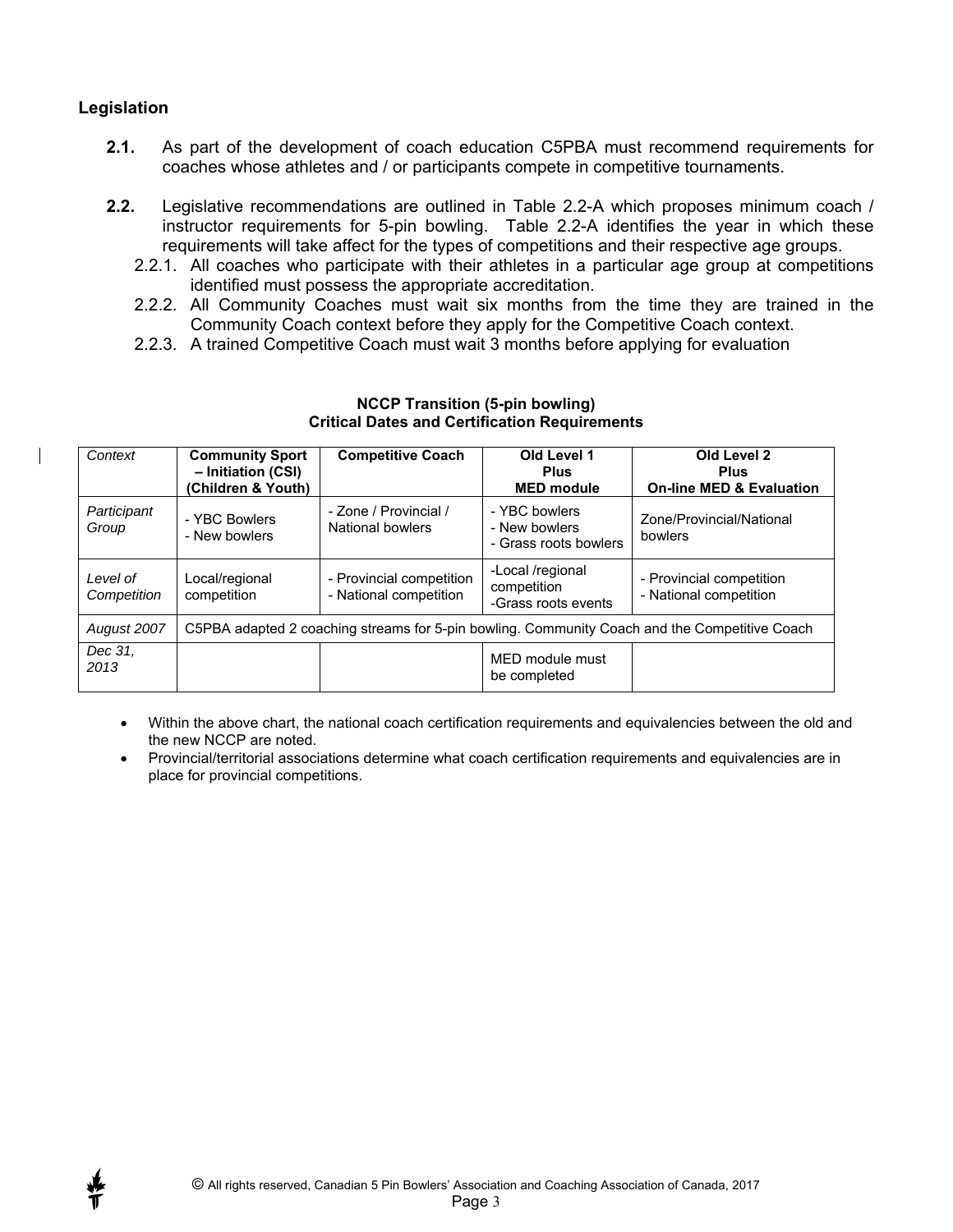#### **Legislation**

- **2.1.** As part of the development of coach education C5PBA must recommend requirements for coaches whose athletes and / or participants compete in competitive tournaments.
- **2.2.** Legislative recommendations are outlined in Table 2.2-A which proposes minimum coach / instructor requirements for 5-pin bowling. Table 2.2-A identifies the year in which these requirements will take affect for the types of competitions and their respective age groups.
	- 2.2.1. All coaches who participate with their athletes in a particular age group at competitions identified must possess the appropriate accreditation.
	- 2.2.2. All Community Coaches must wait six months from the time they are trained in the Community Coach context before they apply for the Competitive Coach context.
	- 2.2.3. A trained Competitive Coach must wait 3 months before applying for evaluation

| Context                 | <b>Community Sport</b><br>- Initiation (CSI)<br>(Children & Youth)                            | <b>Competitive Coach</b>                           | Old Level 1<br><b>Plus</b><br><b>MED</b> module         | Old Level 2<br><b>Plus</b><br><b>On-line MED &amp; Evaluation</b> |
|-------------------------|-----------------------------------------------------------------------------------------------|----------------------------------------------------|---------------------------------------------------------|-------------------------------------------------------------------|
| Participant<br>Group    | - YBC Bowlers<br>- New bowlers                                                                | - Zone / Provincial /<br>National bowlers          | - YBC bowlers<br>- New bowlers<br>- Grass roots bowlers | Zone/Provincial/National<br>bowlers                               |
| Level of<br>Competition | Local/regional<br>competition                                                                 | - Provincial competition<br>- National competition | -Local /regional<br>competition<br>-Grass roots events  | - Provincial competition<br>- National competition                |
| August 2007             | C5PBA adapted 2 coaching streams for 5-pin bowling. Community Coach and the Competitive Coach |                                                    |                                                         |                                                                   |
| Dec 31.<br>2013         |                                                                                               |                                                    | MED module must<br>be completed                         |                                                                   |

#### **NCCP Transition (5-pin bowling) Critical Dates and Certification Requirements**

 Within the above chart, the national coach certification requirements and equivalencies between the old and the new NCCP are noted.

 Provincial/territorial associations determine what coach certification requirements and equivalencies are in place for provincial competitions.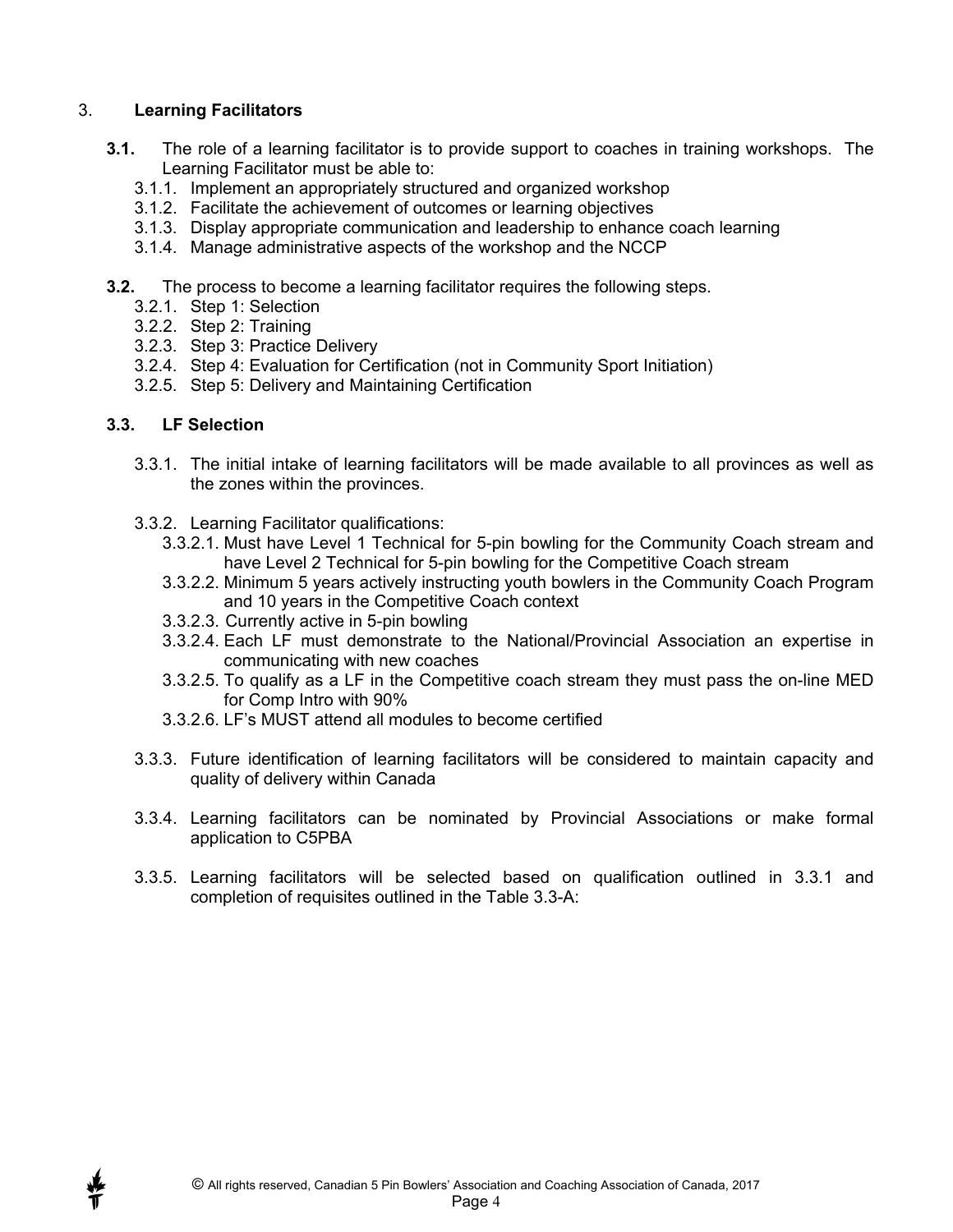#### 3. **Learning Facilitators**

- **3.1.** The role of a learning facilitator is to provide support to coaches in training workshops. The Learning Facilitator must be able to:
	- 3.1.1. Implement an appropriately structured and organized workshop
	- 3.1.2. Facilitate the achievement of outcomes or learning objectives
	- 3.1.3. Display appropriate communication and leadership to enhance coach learning
	- 3.1.4. Manage administrative aspects of the workshop and the NCCP
- **3.2.** The process to become a learning facilitator requires the following steps.
	- 3.2.1. Step 1: Selection
	- 3.2.2. Step 2: Training
	- 3.2.3. Step 3: Practice Delivery
	- 3.2.4. Step 4: Evaluation for Certification (not in Community Sport Initiation)
	- 3.2.5. Step 5: Delivery and Maintaining Certification

#### **3.3. LF Selection**

- 3.3.1. The initial intake of learning facilitators will be made available to all provinces as well as the zones within the provinces.
- 3.3.2. Learning Facilitator qualifications:
	- 3.3.2.1. Must have Level 1 Technical for 5-pin bowling for the Community Coach stream and have Level 2 Technical for 5-pin bowling for the Competitive Coach stream
	- 3.3.2.2. Minimum 5 years actively instructing youth bowlers in the Community Coach Program and 10 years in the Competitive Coach context
	- 3.3.2.3. Currently active in 5-pin bowling
	- 3.3.2.4. Each LF must demonstrate to the National/Provincial Association an expertise in communicating with new coaches
	- 3.3.2.5. To qualify as a LF in the Competitive coach stream they must pass the on-line MED for Comp Intro with 90%
	- 3.3.2.6. LF's MUST attend all modules to become certified
- 3.3.3. Future identification of learning facilitators will be considered to maintain capacity and quality of delivery within Canada
- 3.3.4. Learning facilitators can be nominated by Provincial Associations or make formal application to C5PBA
- 3.3.5. Learning facilitators will be selected based on qualification outlined in 3.3.1 and completion of requisites outlined in the Table 3.3-A: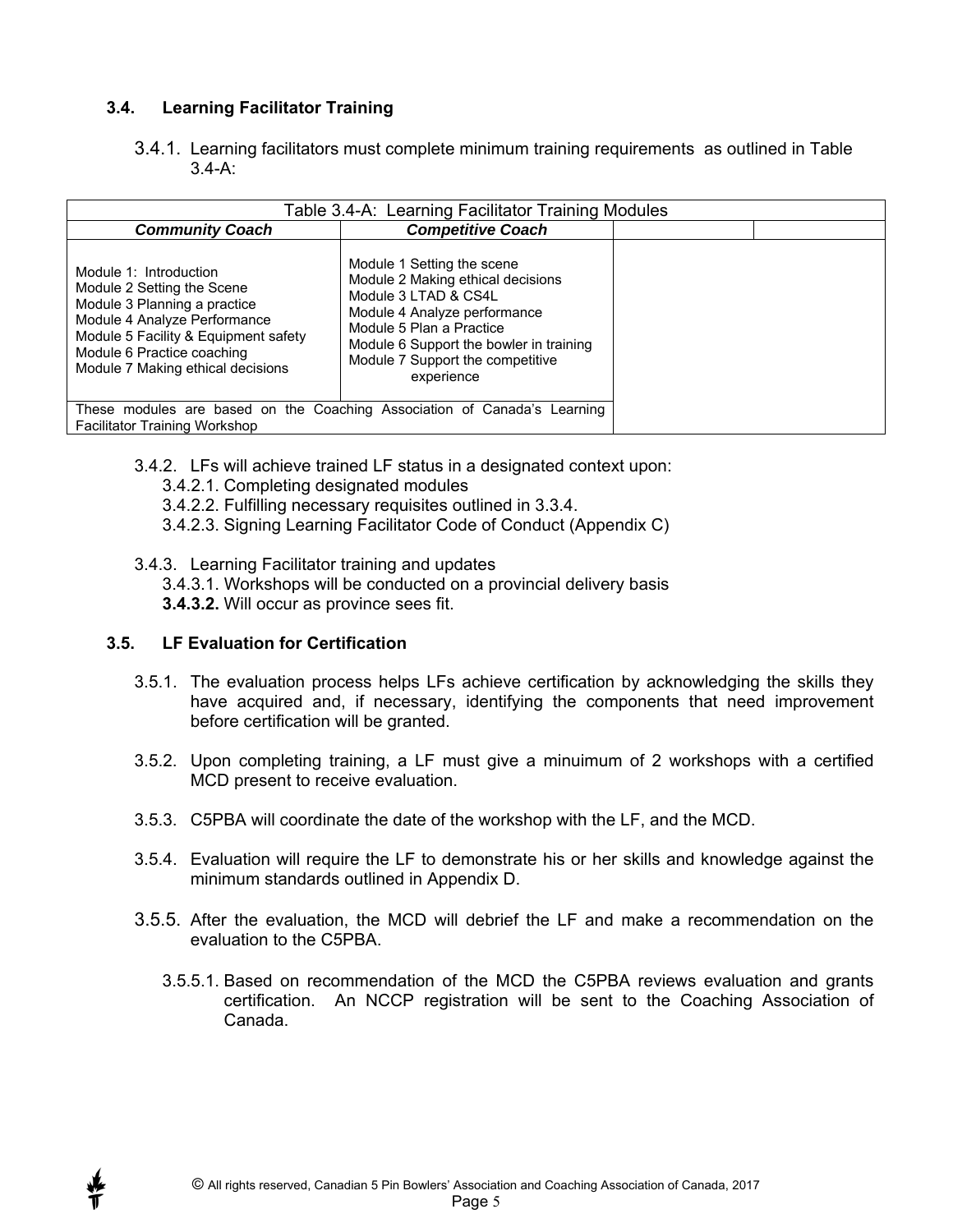#### **3.4. Learning Facilitator Training**

3.4.1. Learning facilitators must complete minimum training requirements as outlined in Table 3.4-A:

| Table 3.4-A: Learning Facilitator Training Modules                                                                                                                                                                              |                                                                                                                                                                                                                                                  |  |  |
|---------------------------------------------------------------------------------------------------------------------------------------------------------------------------------------------------------------------------------|--------------------------------------------------------------------------------------------------------------------------------------------------------------------------------------------------------------------------------------------------|--|--|
| <b>Community Coach</b>                                                                                                                                                                                                          | <b>Competitive Coach</b>                                                                                                                                                                                                                         |  |  |
| Module 1: Introduction<br>Module 2 Setting the Scene<br>Module 3 Planning a practice<br>Module 4 Analyze Performance<br>Module 5 Facility & Equipment safety<br>Module 6 Practice coaching<br>Module 7 Making ethical decisions | Module 1 Setting the scene<br>Module 2 Making ethical decisions<br>Module 3 LTAD & CS4L<br>Module 4 Analyze performance<br>Module 5 Plan a Practice<br>Module 6 Support the bowler in training<br>Module 7 Support the competitive<br>experience |  |  |
| These modules are based on the Coaching Association of Canada's Learning                                                                                                                                                        |                                                                                                                                                                                                                                                  |  |  |
| <b>Facilitator Training Workshop</b>                                                                                                                                                                                            |                                                                                                                                                                                                                                                  |  |  |

- 3.4.2. LFs will achieve trained LF status in a designated context upon:
	- 3.4.2.1. Completing designated modules
	- 3.4.2.2. Fulfilling necessary requisites outlined in 3.3.4.
	- 3.4.2.3. Signing Learning Facilitator Code of Conduct (Appendix C)
- 3.4.3. Learning Facilitator training and updates
	- 3.4.3.1. Workshops will be conducted on a provincial delivery basis
	- **3.4.3.2.** Will occur as province sees fit.

#### **3.5. LF Evaluation for Certification**

- 3.5.1. The evaluation process helps LFs achieve certification by acknowledging the skills they have acquired and, if necessary, identifying the components that need improvement before certification will be granted.
- 3.5.2. Upon completing training, a LF must give a minuimum of 2 workshops with a certified MCD present to receive evaluation.
- 3.5.3. C5PBA will coordinate the date of the workshop with the LF, and the MCD.
- 3.5.4. Evaluation will require the LF to demonstrate his or her skills and knowledge against the minimum standards outlined in Appendix D.
- 3.5.5. After the evaluation, the MCD will debrief the LF and make a recommendation on the evaluation to the C5PBA.
	- 3.5.5.1. Based on recommendation of the MCD the C5PBA reviews evaluation and grants certification. An NCCP registration will be sent to the Coaching Association of Canada.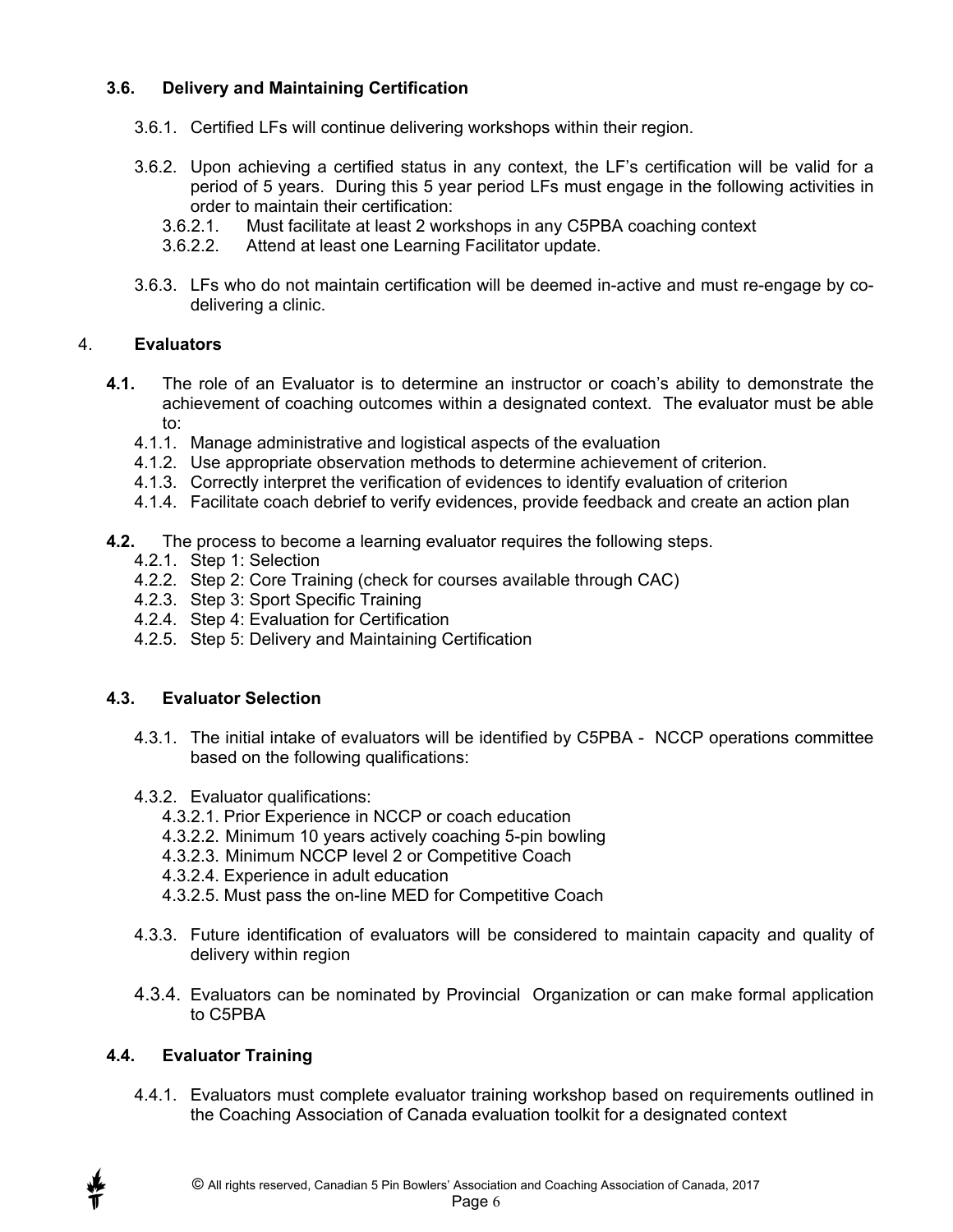#### **3.6. Delivery and Maintaining Certification**

- 3.6.1. Certified LFs will continue delivering workshops within their region.
- 3.6.2. Upon achieving a certified status in any context, the LF's certification will be valid for a period of 5 years. During this 5 year period LFs must engage in the following activities in order to maintain their certification:
	- 3.6.2.1. Must facilitate at least 2 workshops in any C5PBA coaching context
	- 3.6.2.2. Attend at least one Learning Facilitator update.
- 3.6.3. LFs who do not maintain certification will be deemed in-active and must re-engage by codelivering a clinic.

#### 4. **Evaluators**

- **4.1.** The role of an Evaluator is to determine an instructor or coach's ability to demonstrate the achievement of coaching outcomes within a designated context. The evaluator must be able to:
	- 4.1.1. Manage administrative and logistical aspects of the evaluation
	- 4.1.2. Use appropriate observation methods to determine achievement of criterion.
	- 4.1.3. Correctly interpret the verification of evidences to identify evaluation of criterion
	- 4.1.4. Facilitate coach debrief to verify evidences, provide feedback and create an action plan
- **4.2.** The process to become a learning evaluator requires the following steps.
	- 4.2.1. Step 1: Selection
	- 4.2.2. Step 2: Core Training (check for courses available through CAC)
	- 4.2.3. Step 3: Sport Specific Training
	- 4.2.4. Step 4: Evaluation for Certification
	- 4.2.5. Step 5: Delivery and Maintaining Certification

#### **4.3. Evaluator Selection**

- 4.3.1. The initial intake of evaluators will be identified by C5PBA NCCP operations committee based on the following qualifications:
- 4.3.2. Evaluator qualifications:
	- 4.3.2.1. Prior Experience in NCCP or coach education
	- 4.3.2.2. Minimum 10 years actively coaching 5-pin bowling
	- 4.3.2.3. Minimum NCCP level 2 or Competitive Coach
	- 4.3.2.4. Experience in adult education
	- 4.3.2.5. Must pass the on-line MED for Competitive Coach
- 4.3.3. Future identification of evaluators will be considered to maintain capacity and quality of delivery within region
- 4.3.4. Evaluators can be nominated by Provincial Organization or can make formal application to C5PBA

#### **4.4. Evaluator Training**

4.4.1. Evaluators must complete evaluator training workshop based on requirements outlined in the Coaching Association of Canada evaluation toolkit for a designated context

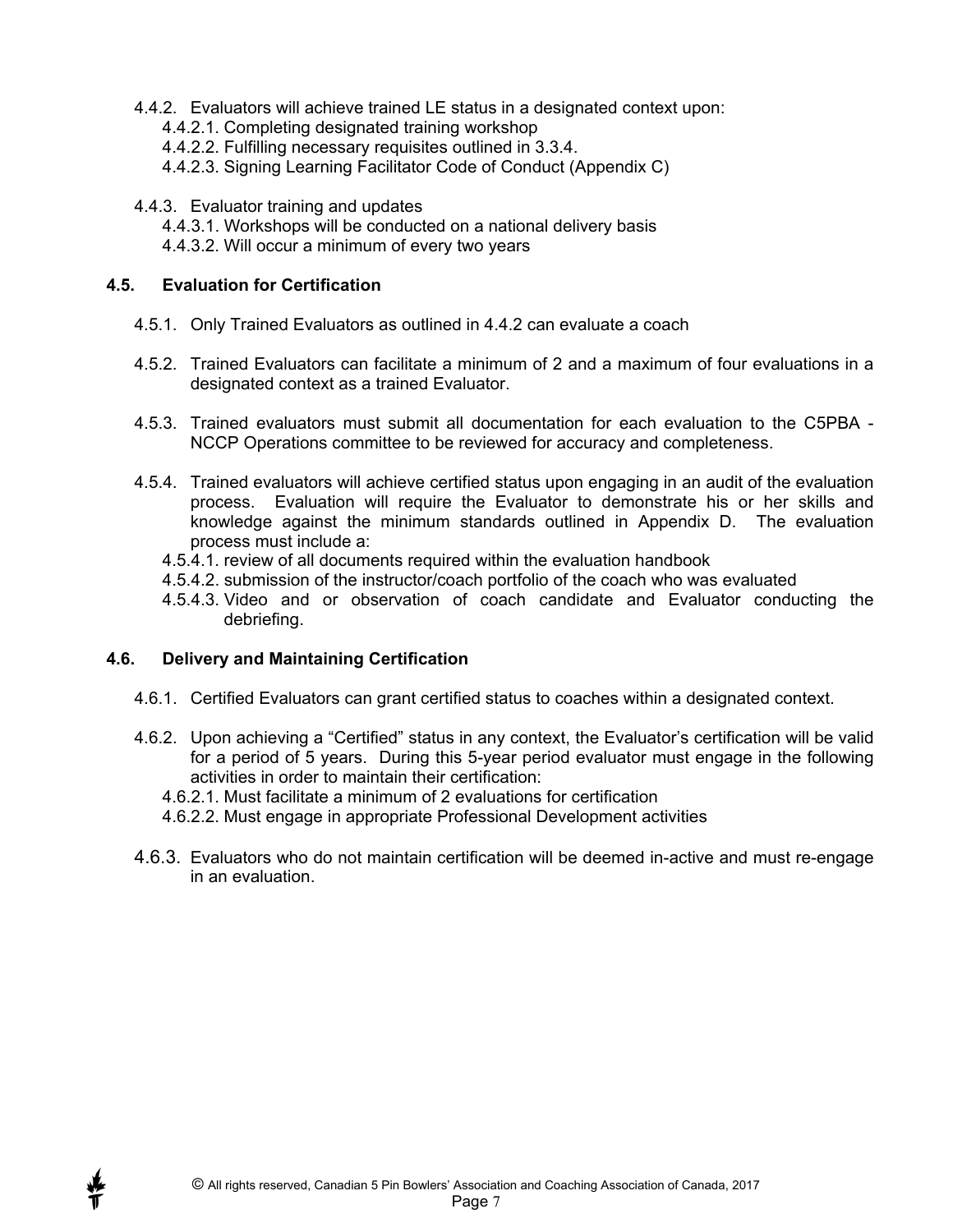- 4.4.2. Evaluators will achieve trained LE status in a designated context upon:
	- 4.4.2.1. Completing designated training workshop
	- 4.4.2.2. Fulfilling necessary requisites outlined in 3.3.4.
	- 4.4.2.3. Signing Learning Facilitator Code of Conduct (Appendix C)
- 4.4.3. Evaluator training and updates
	- 4.4.3.1. Workshops will be conducted on a national delivery basis
	- 4.4.3.2. Will occur a minimum of every two years

#### **4.5. Evaluation for Certification**

- 4.5.1. Only Trained Evaluators as outlined in 4.4.2 can evaluate a coach
- 4.5.2. Trained Evaluators can facilitate a minimum of 2 and a maximum of four evaluations in a designated context as a trained Evaluator.
- 4.5.3. Trained evaluators must submit all documentation for each evaluation to the C5PBA NCCP Operations committee to be reviewed for accuracy and completeness.
- 4.5.4. Trained evaluators will achieve certified status upon engaging in an audit of the evaluation process. Evaluation will require the Evaluator to demonstrate his or her skills and knowledge against the minimum standards outlined in Appendix D. The evaluation process must include a:
	- 4.5.4.1. review of all documents required within the evaluation handbook
	- 4.5.4.2. submission of the instructor/coach portfolio of the coach who was evaluated
	- 4.5.4.3. Video and or observation of coach candidate and Evaluator conducting the debriefing.

#### **4.6. Delivery and Maintaining Certification**

- 4.6.1. Certified Evaluators can grant certified status to coaches within a designated context.
- 4.6.2. Upon achieving a "Certified" status in any context, the Evaluator's certification will be valid for a period of 5 years. During this 5-year period evaluator must engage in the following activities in order to maintain their certification:
	- 4.6.2.1. Must facilitate a minimum of 2 evaluations for certification
	- 4.6.2.2. Must engage in appropriate Professional Development activities
- 4.6.3. Evaluators who do not maintain certification will be deemed in-active and must re-engage in an evaluation.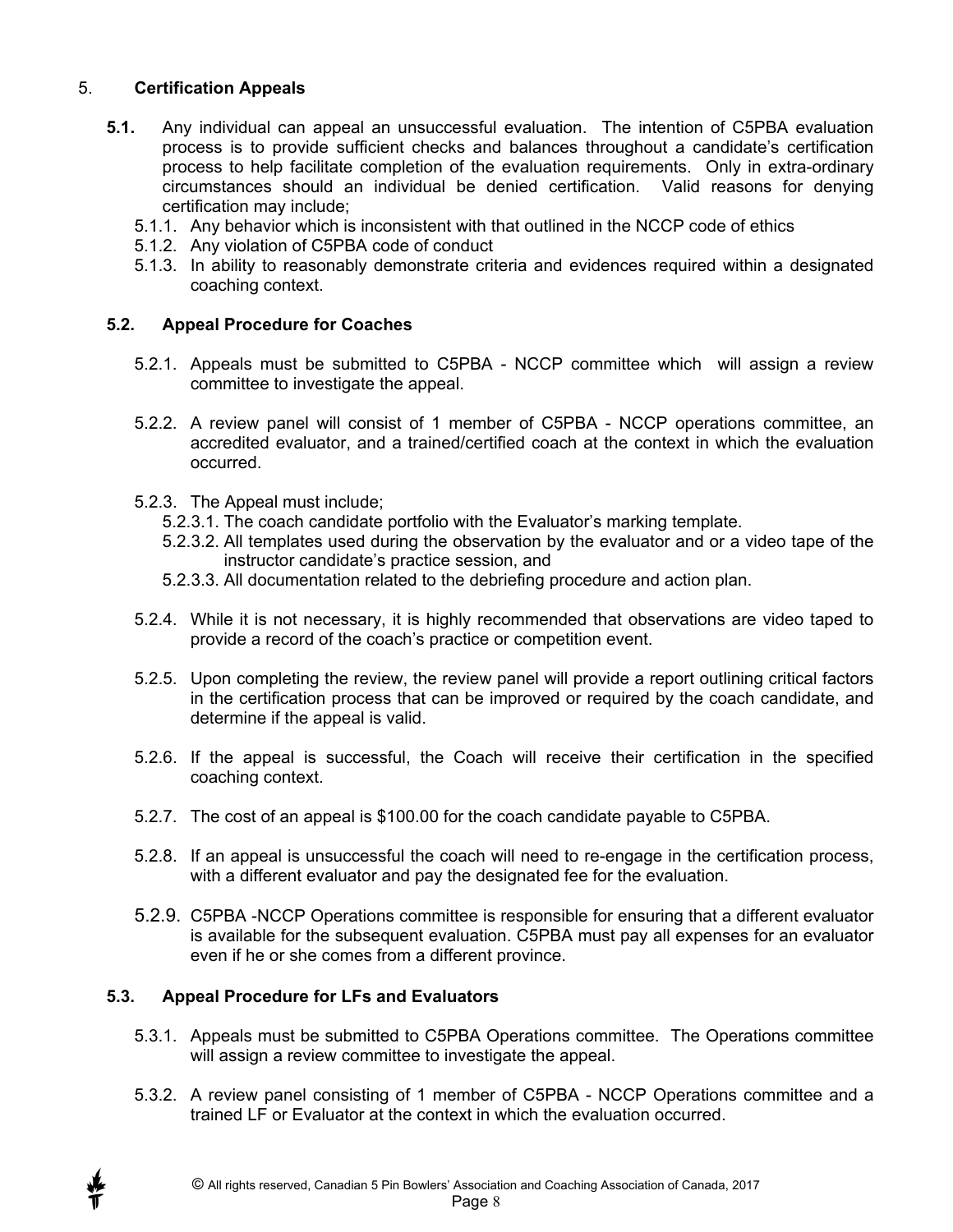#### 5. **Certification Appeals**

- **5.1.** Any individual can appeal an unsuccessful evaluation. The intention of C5PBA evaluation process is to provide sufficient checks and balances throughout a candidate's certification process to help facilitate completion of the evaluation requirements. Only in extra-ordinary circumstances should an individual be denied certification. Valid reasons for denying certification may include;
	- 5.1.1. Any behavior which is inconsistent with that outlined in the NCCP code of ethics
	- 5.1.2. Any violation of C5PBA code of conduct
	- 5.1.3. In ability to reasonably demonstrate criteria and evidences required within a designated coaching context.

#### **5.2. Appeal Procedure for Coaches**

- 5.2.1. Appeals must be submitted to C5PBA NCCP committee which will assign a review committee to investigate the appeal.
- 5.2.2. A review panel will consist of 1 member of C5PBA NCCP operations committee, an accredited evaluator, and a trained/certified coach at the context in which the evaluation occurred.
- 5.2.3. The Appeal must include;
	- 5.2.3.1. The coach candidate portfolio with the Evaluator's marking template.
	- 5.2.3.2. All templates used during the observation by the evaluator and or a video tape of the instructor candidate's practice session, and
	- 5.2.3.3. All documentation related to the debriefing procedure and action plan.
- 5.2.4. While it is not necessary, it is highly recommended that observations are video taped to provide a record of the coach's practice or competition event.
- 5.2.5. Upon completing the review, the review panel will provide a report outlining critical factors in the certification process that can be improved or required by the coach candidate, and determine if the appeal is valid.
- 5.2.6. If the appeal is successful, the Coach will receive their certification in the specified coaching context.
- 5.2.7. The cost of an appeal is \$100.00 for the coach candidate payable to C5PBA.
- 5.2.8. If an appeal is unsuccessful the coach will need to re-engage in the certification process, with a different evaluator and pay the designated fee for the evaluation.
- 5.2.9. C5PBA -NCCP Operations committee is responsible for ensuring that a different evaluator is available for the subsequent evaluation. C5PBA must pay all expenses for an evaluator even if he or she comes from a different province.

#### **5.3. Appeal Procedure for LFs and Evaluators**

- 5.3.1. Appeals must be submitted to C5PBA Operations committee. The Operations committee will assign a review committee to investigate the appeal.
- 5.3.2. A review panel consisting of 1 member of C5PBA NCCP Operations committee and a trained LF or Evaluator at the context in which the evaluation occurred.

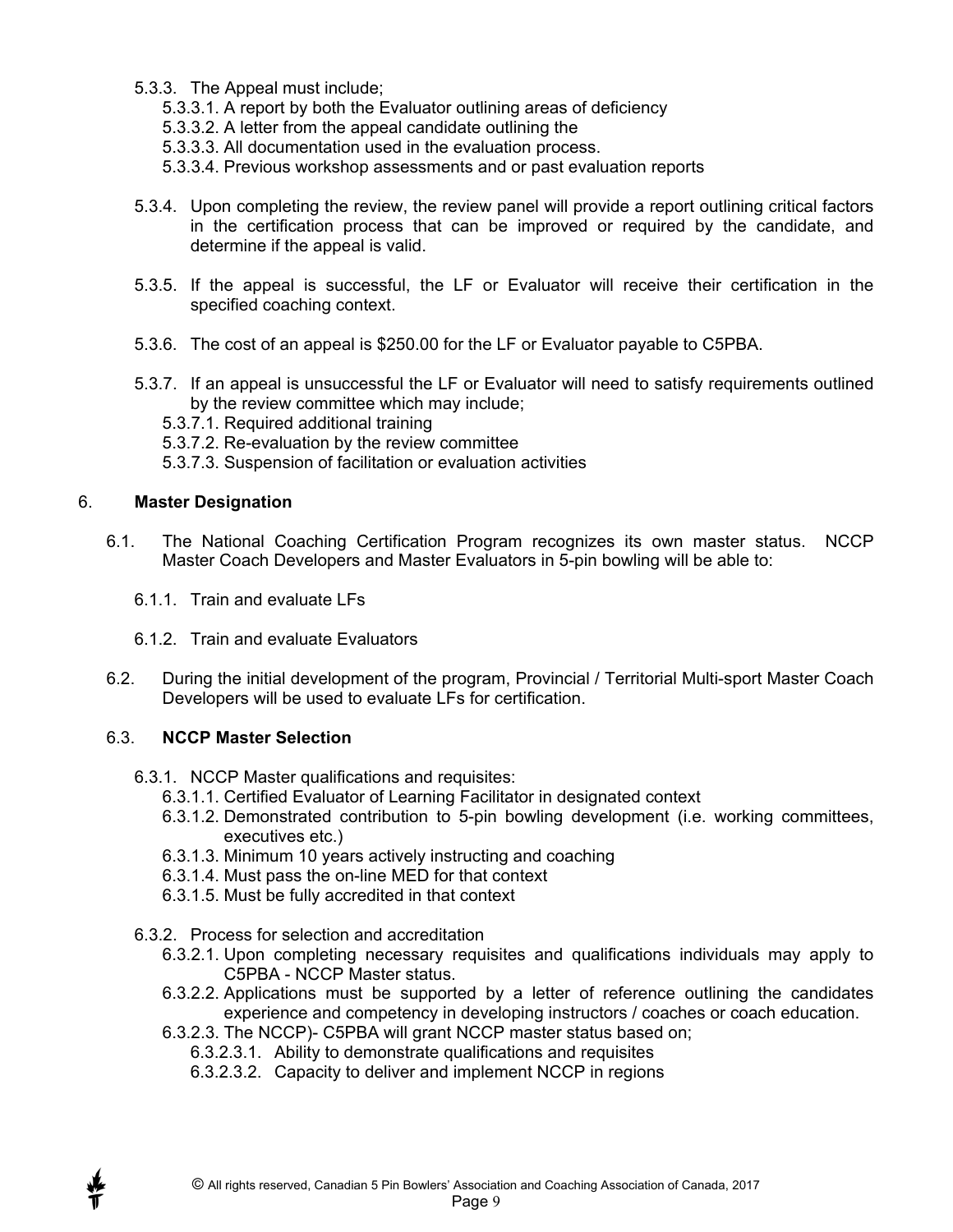- 5.3.3. The Appeal must include;
	- 5.3.3.1. A report by both the Evaluator outlining areas of deficiency
	- 5.3.3.2. A letter from the appeal candidate outlining the
	- 5.3.3.3. All documentation used in the evaluation process.
	- 5.3.3.4. Previous workshop assessments and or past evaluation reports
- 5.3.4. Upon completing the review, the review panel will provide a report outlining critical factors in the certification process that can be improved or required by the candidate, and determine if the appeal is valid.
- 5.3.5. If the appeal is successful, the LF or Evaluator will receive their certification in the specified coaching context.
- 5.3.6. The cost of an appeal is \$250.00 for the LF or Evaluator payable to C5PBA.
- 5.3.7. If an appeal is unsuccessful the LF or Evaluator will need to satisfy requirements outlined by the review committee which may include;
	- 5.3.7.1. Required additional training
	- 5.3.7.2. Re-evaluation by the review committee
	- 5.3.7.3. Suspension of facilitation or evaluation activities

#### 6. **Master Designation**

- 6.1. The National Coaching Certification Program recognizes its own master status. NCCP Master Coach Developers and Master Evaluators in 5-pin bowling will be able to:
	- 6.1.1. Train and evaluate LFs
	- 6.1.2. Train and evaluate Evaluators
- 6.2. During the initial development of the program, Provincial / Territorial Multi-sport Master Coach Developers will be used to evaluate LFs for certification.

#### 6.3. **NCCP Master Selection**

- 6.3.1. NCCP Master qualifications and requisites:
	- 6.3.1.1. Certified Evaluator of Learning Facilitator in designated context
	- 6.3.1.2. Demonstrated contribution to 5-pin bowling development (i.e. working committees, executives etc.)
	- 6.3.1.3. Minimum 10 years actively instructing and coaching
	- 6.3.1.4. Must pass the on-line MED for that context
	- 6.3.1.5. Must be fully accredited in that context
- 6.3.2. Process for selection and accreditation
	- 6.3.2.1. Upon completing necessary requisites and qualifications individuals may apply to C5PBA - NCCP Master status.
	- 6.3.2.2. Applications must be supported by a letter of reference outlining the candidates experience and competency in developing instructors / coaches or coach education.
	- 6.3.2.3. The NCCP)- C5PBA will grant NCCP master status based on;
		- 6.3.2.3.1. Ability to demonstrate qualifications and requisites
		- 6.3.2.3.2. Capacity to deliver and implement NCCP in regions

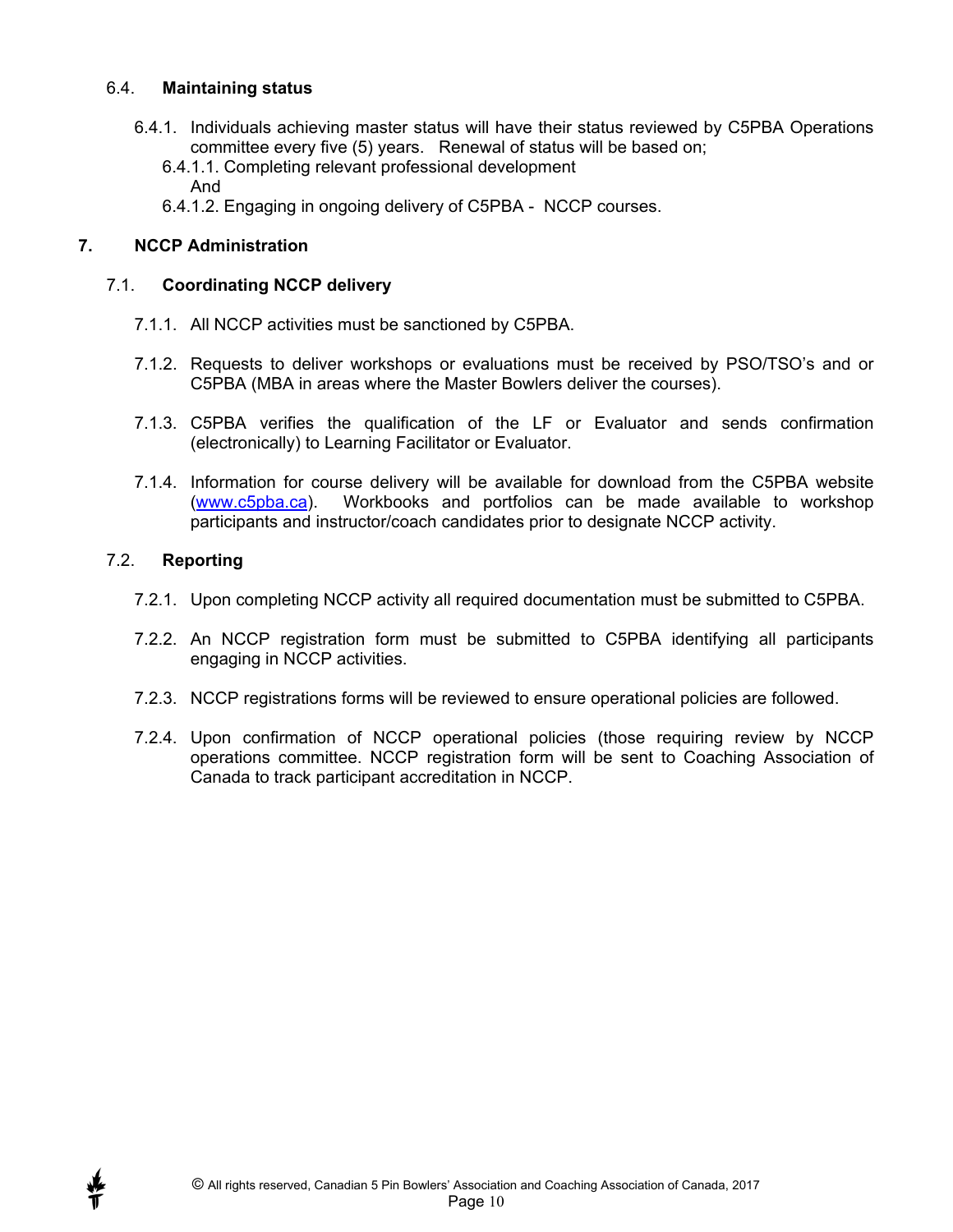#### 6.4. **Maintaining status**

- 6.4.1. Individuals achieving master status will have their status reviewed by C5PBA Operations committee every five (5) years. Renewal of status will be based on;
	- 6.4.1.1. Completing relevant professional development And
	- 6.4.1.2. Engaging in ongoing delivery of C5PBA NCCP courses.

#### **7. NCCP Administration**

#### 7.1. **Coordinating NCCP delivery**

- 7.1.1. All NCCP activities must be sanctioned by C5PBA.
- 7.1.2. Requests to deliver workshops or evaluations must be received by PSO/TSO's and or C5PBA (MBA in areas where the Master Bowlers deliver the courses).
- 7.1.3. C5PBA verifies the qualification of the LF or Evaluator and sends confirmation (electronically) to Learning Facilitator or Evaluator.
- 7.1.4. Information for course delivery will be available for download from the C5PBA website (www.c5pba.ca). Workbooks and portfolios can be made available to workshop participants and instructor/coach candidates prior to designate NCCP activity.

#### 7.2. **Reporting**

- 7.2.1. Upon completing NCCP activity all required documentation must be submitted to C5PBA.
- 7.2.2. An NCCP registration form must be submitted to C5PBA identifying all participants engaging in NCCP activities.
- 7.2.3. NCCP registrations forms will be reviewed to ensure operational policies are followed.
- 7.2.4. Upon confirmation of NCCP operational policies (those requiring review by NCCP operations committee. NCCP registration form will be sent to Coaching Association of Canada to track participant accreditation in NCCP.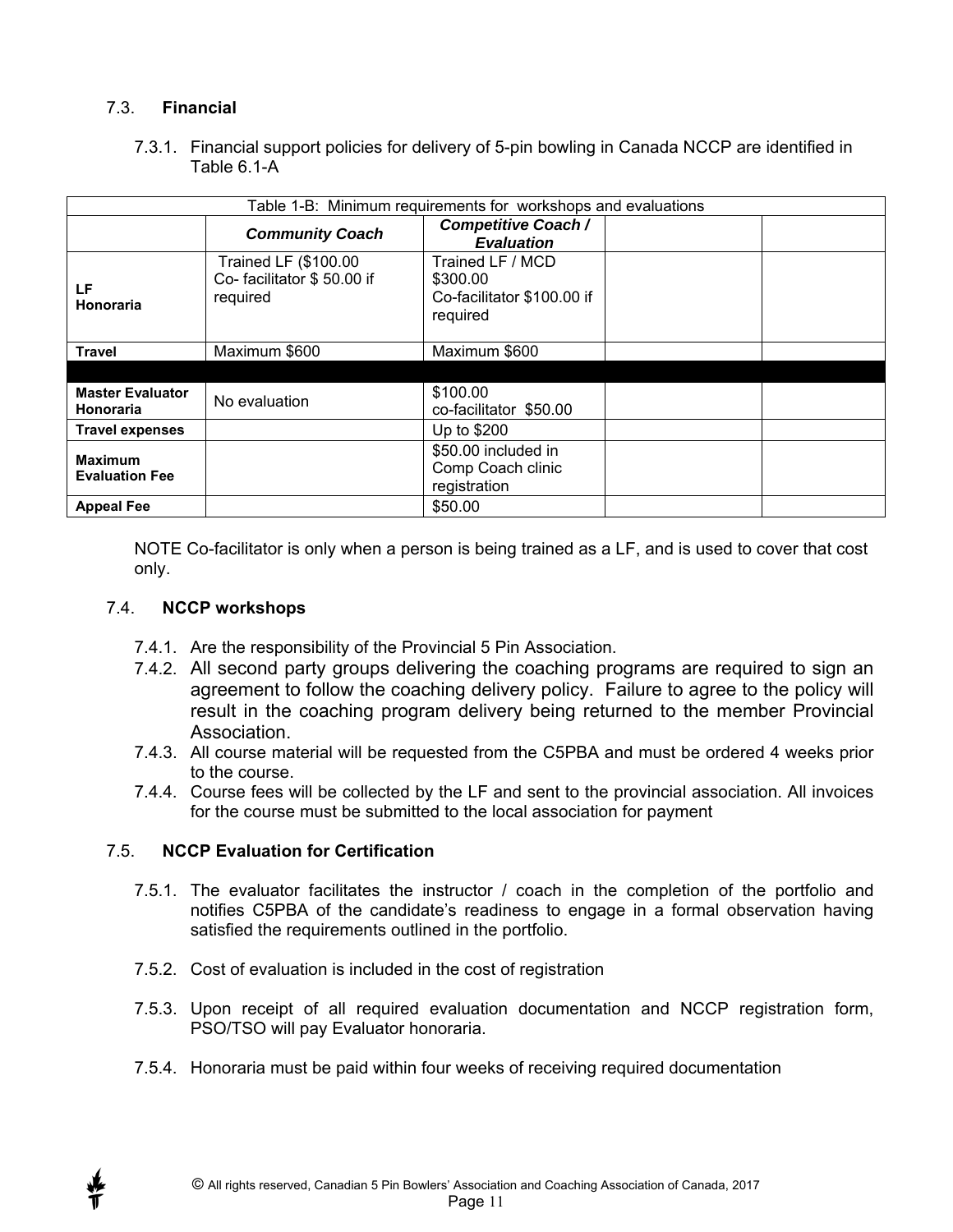#### 7.3. **Financial**

7.3.1. Financial support policies for delivery of 5-pin bowling in Canada NCCP are identified in Table 6.1-A

| Table 1-B: Minimum requirements for workshops and evaluations |                                                               |                                                                        |  |  |
|---------------------------------------------------------------|---------------------------------------------------------------|------------------------------------------------------------------------|--|--|
|                                                               | <b>Community Coach</b>                                        | <b>Competitive Coach /</b><br><b>Evaluation</b>                        |  |  |
| LF<br>Honoraria                                               | Trained LF (\$100.00<br>Co-facilitator \$50.00 if<br>required | Trained LF / MCD<br>\$300.00<br>Co-facilitator \$100.00 if<br>required |  |  |
| <b>Travel</b>                                                 | Maximum \$600                                                 | Maximum \$600                                                          |  |  |
|                                                               |                                                               |                                                                        |  |  |
| <b>Master Evaluator</b><br><b>Honoraria</b>                   | No evaluation                                                 | \$100.00<br>co-facilitator \$50.00                                     |  |  |
| <b>Travel expenses</b>                                        |                                                               | Up to \$200                                                            |  |  |
| <b>Maximum</b><br><b>Evaluation Fee</b>                       |                                                               | \$50.00 included in<br>Comp Coach clinic<br>registration               |  |  |
| <b>Appeal Fee</b>                                             |                                                               | \$50.00                                                                |  |  |

NOTE Co-facilitator is only when a person is being trained as a LF, and is used to cover that cost only.

#### 7.4. **NCCP workshops**

- 7.4.1. Are the responsibility of the Provincial 5 Pin Association.
- 7.4.2. All second party groups delivering the coaching programs are required to sign an agreement to follow the coaching delivery policy. Failure to agree to the policy will result in the coaching program delivery being returned to the member Provincial **Association**
- 7.4.3. All course material will be requested from the C5PBA and must be ordered 4 weeks prior to the course.
- 7.4.4. Course fees will be collected by the LF and sent to the provincial association. All invoices for the course must be submitted to the local association for payment

#### 7.5. **NCCP Evaluation for Certification**

- 7.5.1. The evaluator facilitates the instructor / coach in the completion of the portfolio and notifies C5PBA of the candidate's readiness to engage in a formal observation having satisfied the requirements outlined in the portfolio.
- 7.5.2. Cost of evaluation is included in the cost of registration
- 7.5.3. Upon receipt of all required evaluation documentation and NCCP registration form, PSO/TSO will pay Evaluator honoraria.
- 7.5.4. Honoraria must be paid within four weeks of receiving required documentation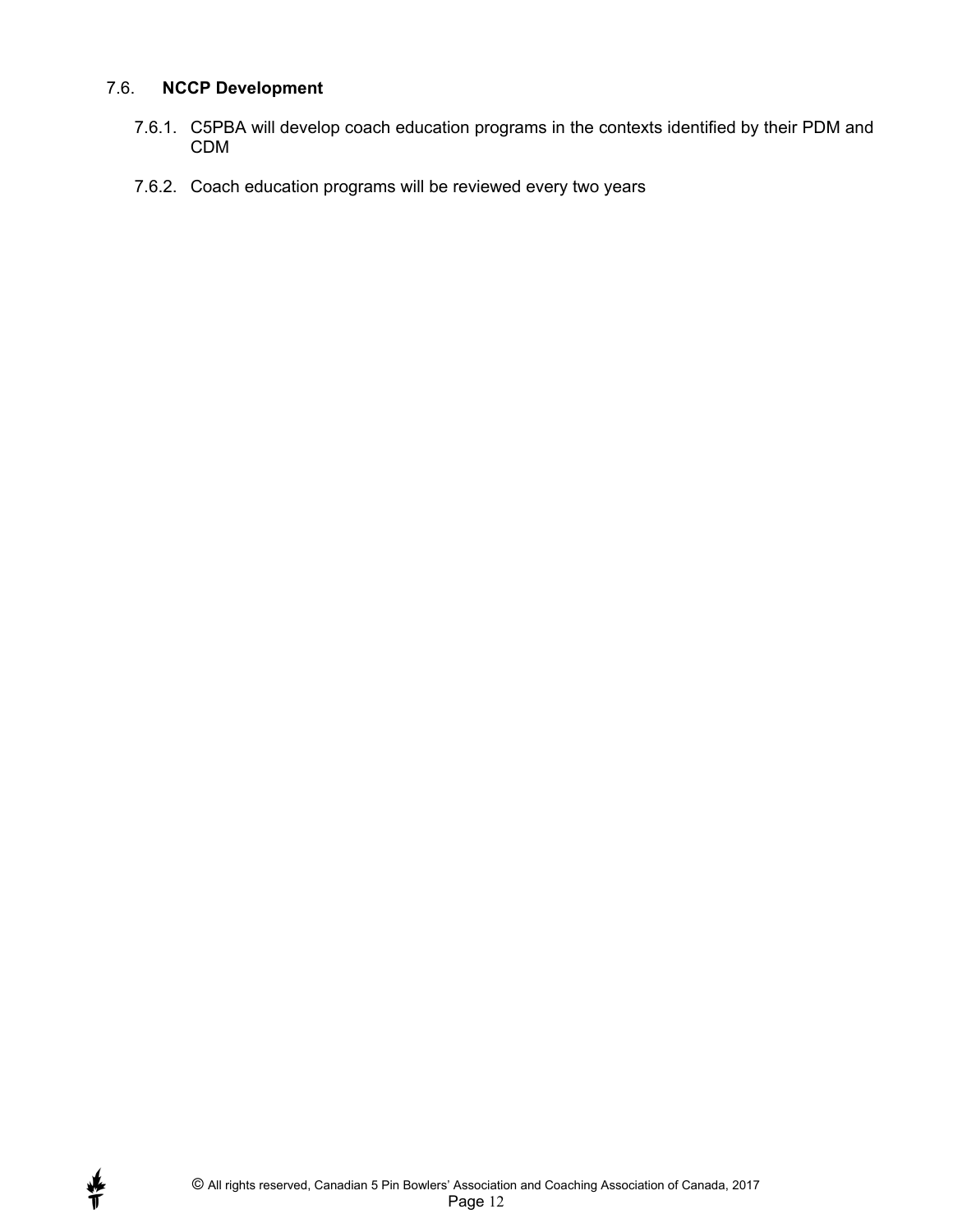#### 7.6. **NCCP Development**

- 7.6.1. C5PBA will develop coach education programs in the contexts identified by their PDM and CDM
- 7.6.2. Coach education programs will be reviewed every two years

∯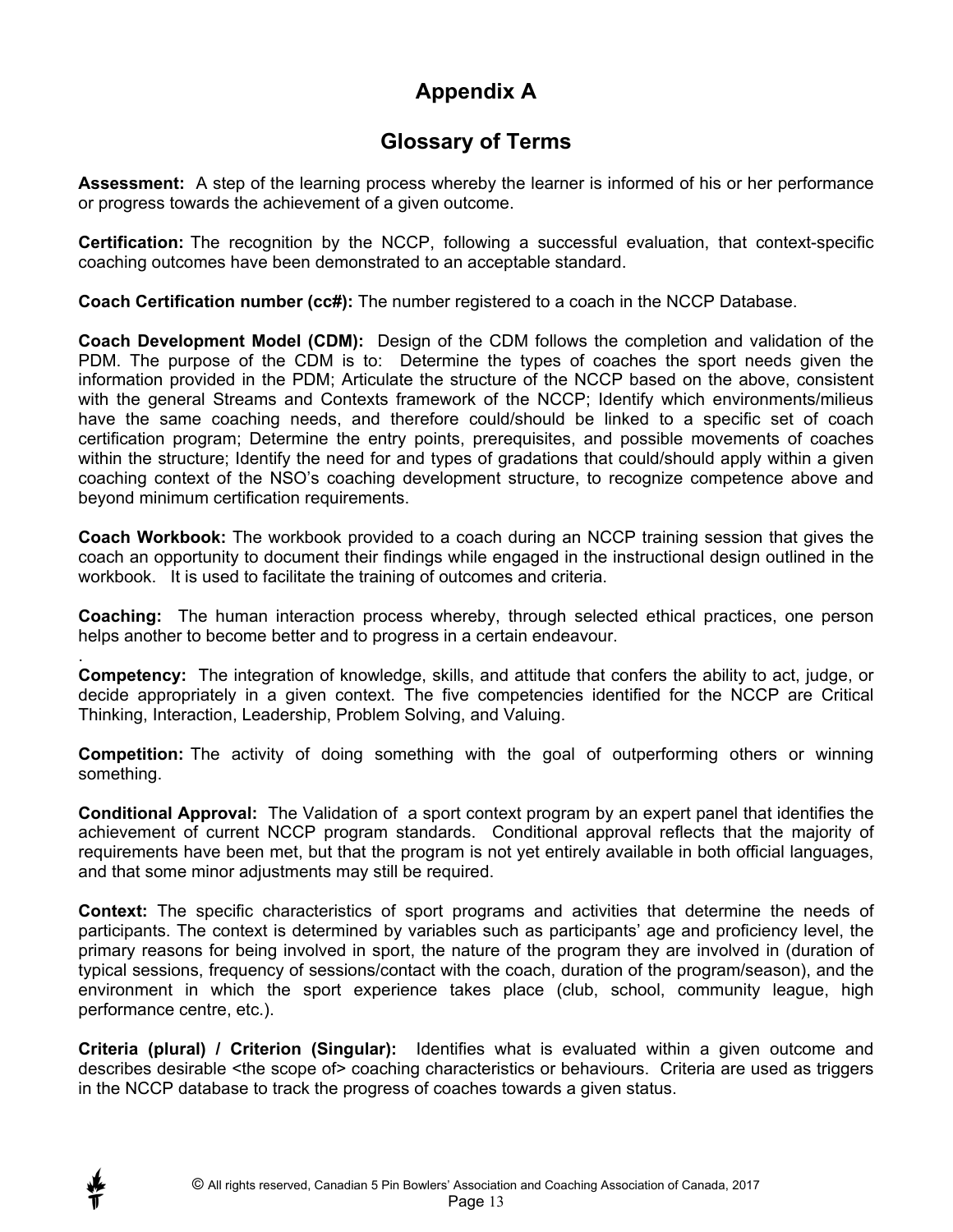## **Appendix A**

## **Glossary of Terms**

**Assessment:** A step of the learning process whereby the learner is informed of his or her performance or progress towards the achievement of a given outcome.

**Certification:** The recognition by the NCCP, following a successful evaluation, that context-specific coaching outcomes have been demonstrated to an acceptable standard.

**Coach Certification number (cc#):** The number registered to a coach in the NCCP Database.

**Coach Development Model (CDM):** Design of the CDM follows the completion and validation of the PDM. The purpose of the CDM is to: Determine the types of coaches the sport needs given the information provided in the PDM; Articulate the structure of the NCCP based on the above, consistent with the general Streams and Contexts framework of the NCCP; Identify which environments/milieus have the same coaching needs, and therefore could/should be linked to a specific set of coach certification program; Determine the entry points, prerequisites, and possible movements of coaches within the structure; Identify the need for and types of gradations that could/should apply within a given coaching context of the NSO's coaching development structure, to recognize competence above and beyond minimum certification requirements.

**Coach Workbook:** The workbook provided to a coach during an NCCP training session that gives the coach an opportunity to document their findings while engaged in the instructional design outlined in the workbook. It is used to facilitate the training of outcomes and criteria.

**Coaching:** The human interaction process whereby, through selected ethical practices, one person helps another to become better and to progress in a certain endeavour.

. **Competency:** The integration of knowledge, skills, and attitude that confers the ability to act, judge, or decide appropriately in a given context. The five competencies identified for the NCCP are Critical Thinking, Interaction, Leadership, Problem Solving, and Valuing.

**Competition:** The activity of doing something with the goal of outperforming others or winning something.

**Conditional Approval:** The Validation of a sport context program by an expert panel that identifies the achievement of current NCCP program standards. Conditional approval reflects that the majority of requirements have been met, but that the program is not yet entirely available in both official languages, and that some minor adjustments may still be required.

**Context:** The specific characteristics of sport programs and activities that determine the needs of participants. The context is determined by variables such as participants' age and proficiency level, the primary reasons for being involved in sport, the nature of the program they are involved in (duration of typical sessions, frequency of sessions/contact with the coach, duration of the program/season), and the environment in which the sport experience takes place (club, school, community league, high performance centre, etc.).

**Criteria (plural) / Criterion (Singular):** Identifies what is evaluated within a given outcome and describes desirable <the scope of> coaching characteristics or behaviours. Criteria are used as triggers in the NCCP database to track the progress of coaches towards a given status.

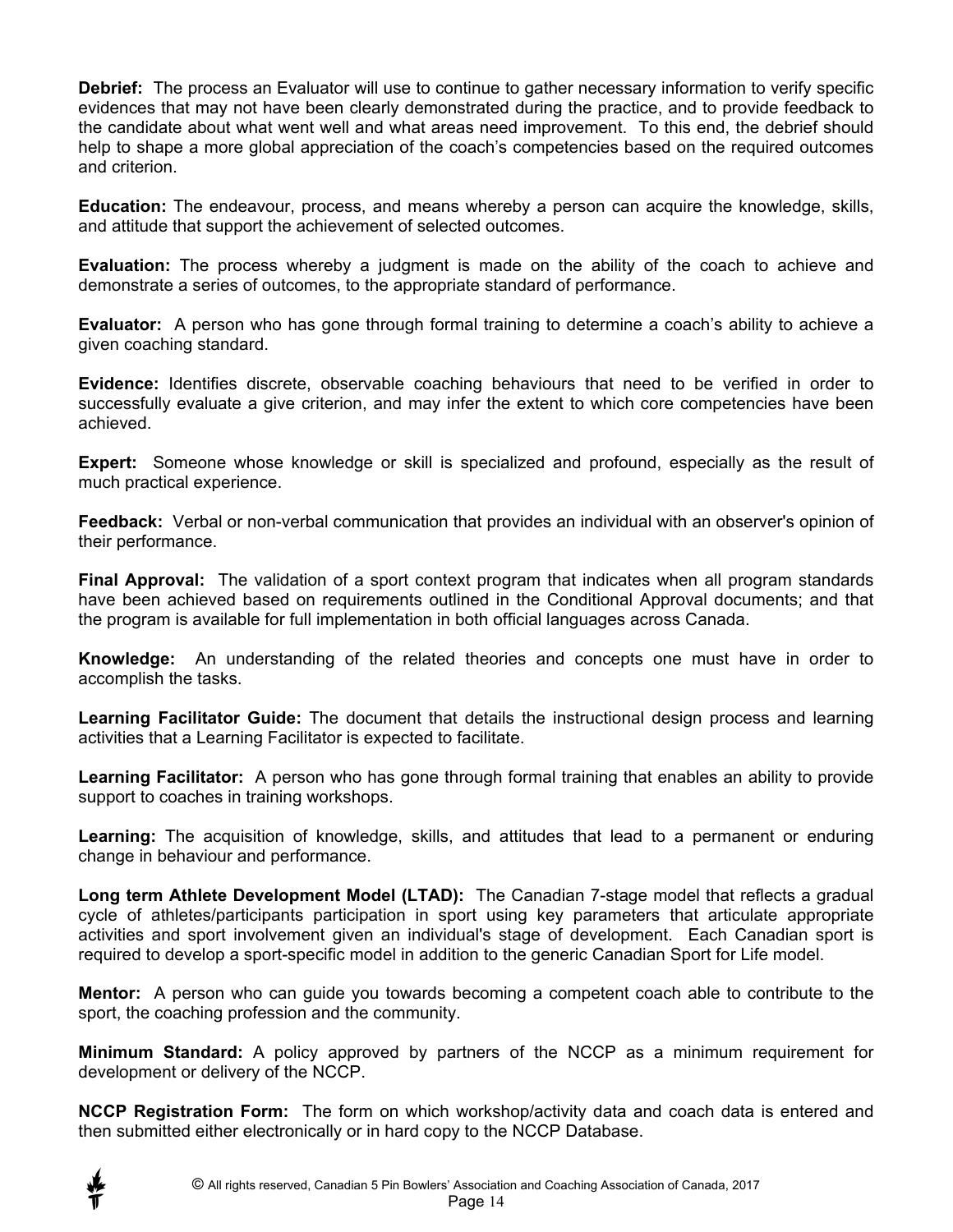**Debrief:** The process an Evaluator will use to continue to gather necessary information to verify specific evidences that may not have been clearly demonstrated during the practice, and to provide feedback to the candidate about what went well and what areas need improvement. To this end, the debrief should help to shape a more global appreciation of the coach's competencies based on the required outcomes and criterion.

**Education:** The endeavour, process, and means whereby a person can acquire the knowledge, skills, and attitude that support the achievement of selected outcomes.

**Evaluation:** The process whereby a judgment is made on the ability of the coach to achieve and demonstrate a series of outcomes, to the appropriate standard of performance.

**Evaluator:** A person who has gone through formal training to determine a coach's ability to achieve a given coaching standard.

**Evidence:** Identifies discrete, observable coaching behaviours that need to be verified in order to successfully evaluate a give criterion, and may infer the extent to which core competencies have been achieved.

**Expert:** Someone whose knowledge or skill is specialized and profound, especially as the result of much practical experience.

**Feedback:** Verbal or non-verbal communication that provides an individual with an observer's opinion of their performance.

**Final Approval:** The validation of a sport context program that indicates when all program standards have been achieved based on requirements outlined in the Conditional Approval documents; and that the program is available for full implementation in both official languages across Canada.

**Knowledge:** An understanding of the related theories and concepts one must have in order to accomplish the tasks.

**Learning Facilitator Guide:** The document that details the instructional design process and learning activities that a Learning Facilitator is expected to facilitate.

**Learning Facilitator:** A person who has gone through formal training that enables an ability to provide support to coaches in training workshops.

**Learning:** The acquisition of knowledge, skills, and attitudes that lead to a permanent or enduring change in behaviour and performance.

**Long term Athlete Development Model (LTAD):** The Canadian 7-stage model that reflects a gradual cycle of athletes/participants participation in sport using key parameters that articulate appropriate activities and sport involvement given an individual's stage of development. Each Canadian sport is required to develop a sport-specific model in addition to the generic Canadian Sport for Life model.

**Mentor:** A person who can guide you towards becoming a competent coach able to contribute to the sport, the coaching profession and the community.

**Minimum Standard:** A policy approved by partners of the NCCP as a minimum requirement for development or delivery of the NCCP.

**NCCP Registration Form:** The form on which workshop/activity data and coach data is entered and then submitted either electronically or in hard copy to the NCCP Database.

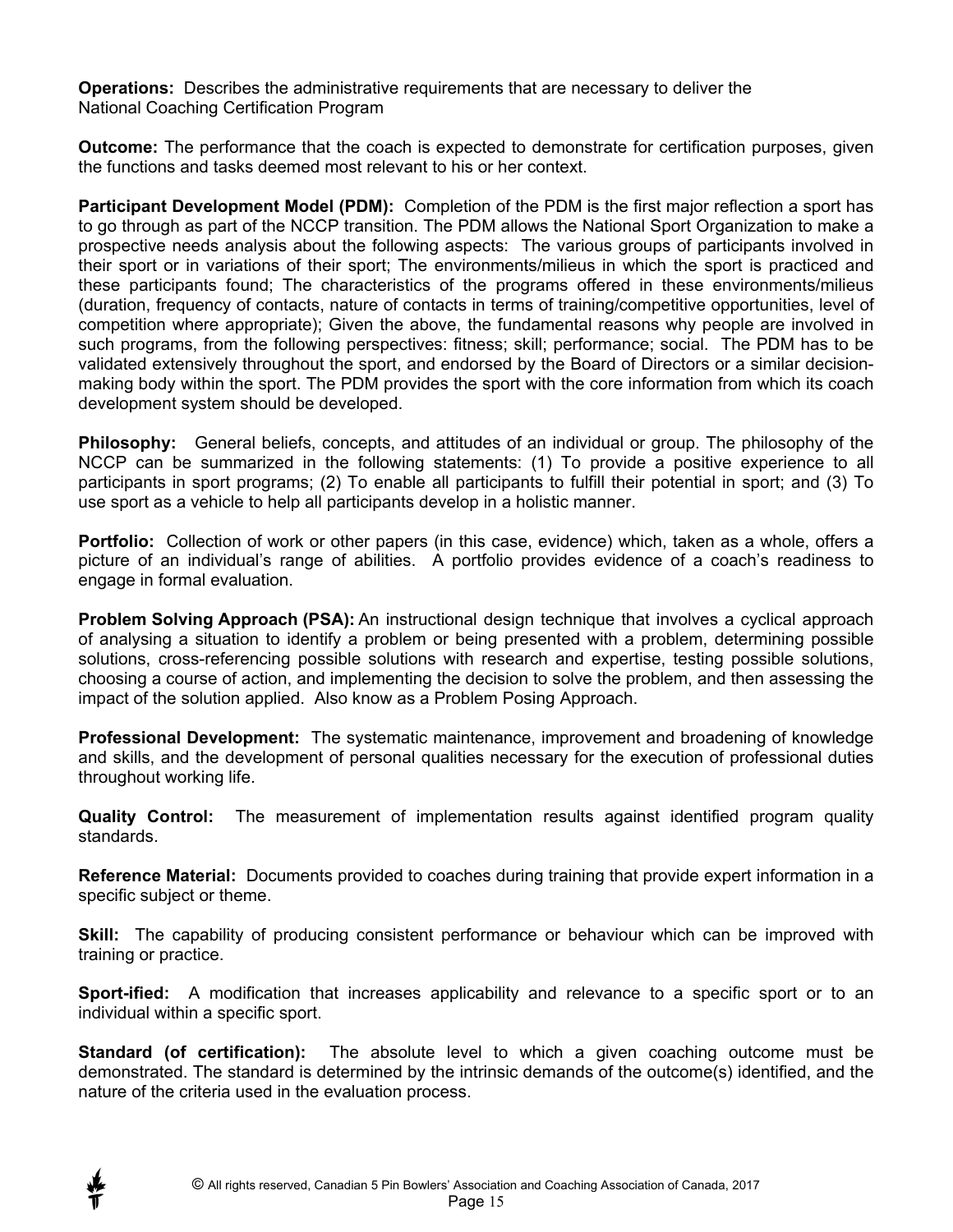**Operations:** Describes the administrative requirements that are necessary to deliver the National Coaching Certification Program

**Outcome:** The performance that the coach is expected to demonstrate for certification purposes, given the functions and tasks deemed most relevant to his or her context.

**Participant Development Model (PDM):** Completion of the PDM is the first major reflection a sport has to go through as part of the NCCP transition. The PDM allows the National Sport Organization to make a prospective needs analysis about the following aspects: The various groups of participants involved in their sport or in variations of their sport; The environments/milieus in which the sport is practiced and these participants found; The characteristics of the programs offered in these environments/milieus (duration, frequency of contacts, nature of contacts in terms of training/competitive opportunities, level of competition where appropriate); Given the above, the fundamental reasons why people are involved in such programs, from the following perspectives: fitness; skill; performance; social. The PDM has to be validated extensively throughout the sport, and endorsed by the Board of Directors or a similar decisionmaking body within the sport. The PDM provides the sport with the core information from which its coach development system should be developed.

**Philosophy:** General beliefs, concepts, and attitudes of an individual or group. The philosophy of the NCCP can be summarized in the following statements: (1) To provide a positive experience to all participants in sport programs; (2) To enable all participants to fulfill their potential in sport; and (3) To use sport as a vehicle to help all participants develop in a holistic manner.

**Portfolio:** Collection of work or other papers (in this case, evidence) which, taken as a whole, offers a picture of an individual's range of abilities. A portfolio provides evidence of a coach's readiness to engage in formal evaluation.

**Problem Solving Approach (PSA):** An instructional design technique that involves a cyclical approach of analysing a situation to identify a problem or being presented with a problem, determining possible solutions, cross-referencing possible solutions with research and expertise, testing possible solutions, choosing a course of action, and implementing the decision to solve the problem, and then assessing the impact of the solution applied. Also know as a Problem Posing Approach.

**Professional Development:** The systematic maintenance, improvement and broadening of knowledge and skills, and the development of personal qualities necessary for the execution of professional duties throughout working life.

**Quality Control:** The measurement of implementation results against identified program quality standards.

**Reference Material:** Documents provided to coaches during training that provide expert information in a specific subject or theme.

**Skill:** The capability of producing consistent performance or behaviour which can be improved with training or practice.

**Sport-ified:** A modification that increases applicability and relevance to a specific sport or to an individual within a specific sport.

**Standard (of certification):** The absolute level to which a given coaching outcome must be demonstrated. The standard is determined by the intrinsic demands of the outcome(s) identified, and the nature of the criteria used in the evaluation process.

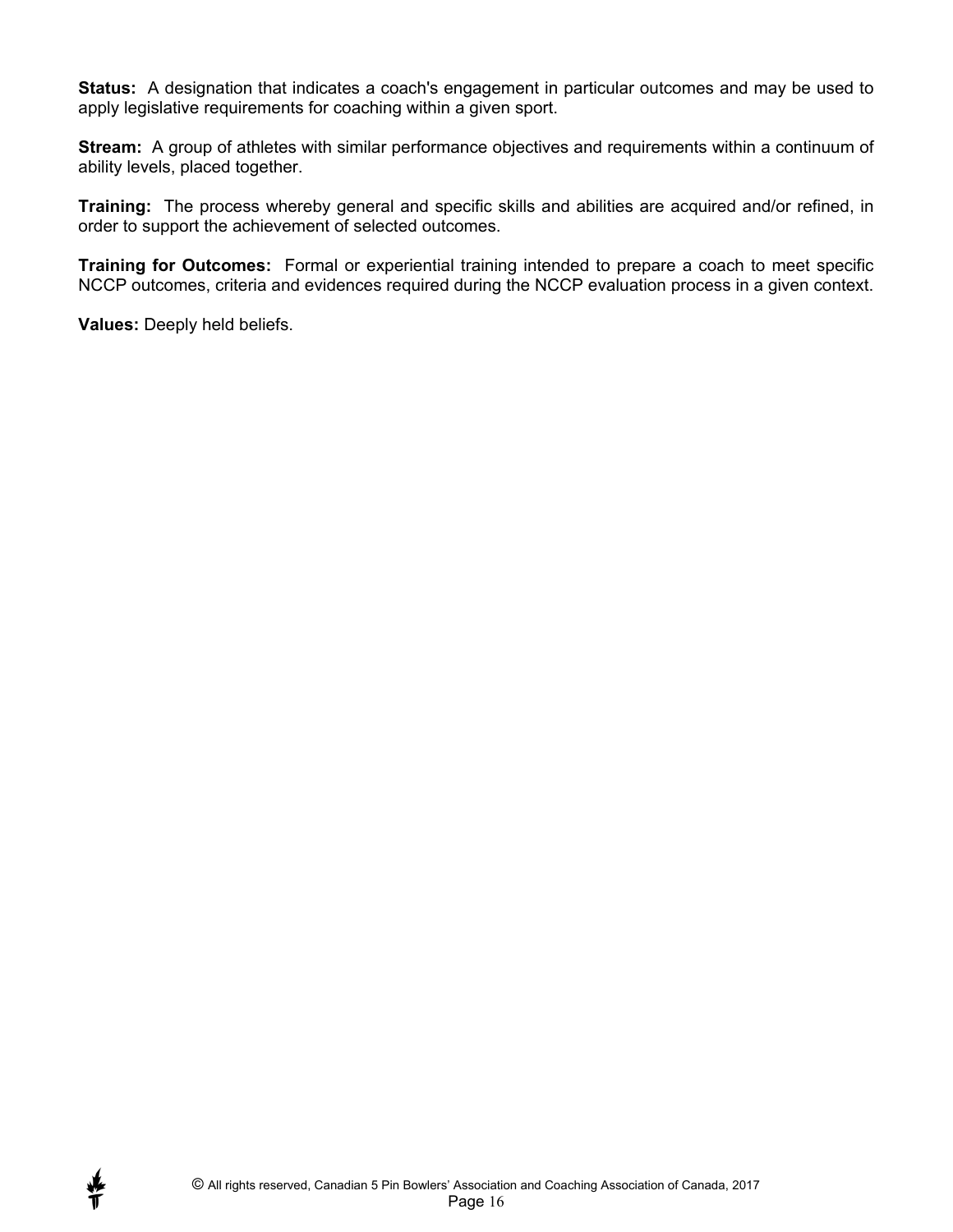**Status:** A designation that indicates a coach's engagement in particular outcomes and may be used to apply legislative requirements for coaching within a given sport.

**Stream:** A group of athletes with similar performance objectives and requirements within a continuum of ability levels, placed together.

**Training:** The process whereby general and specific skills and abilities are acquired and/or refined, in order to support the achievement of selected outcomes.

**Training for Outcomes:** Formal or experiential training intended to prepare a coach to meet specific NCCP outcomes, criteria and evidences required during the NCCP evaluation process in a given context.

**Values:** Deeply held beliefs.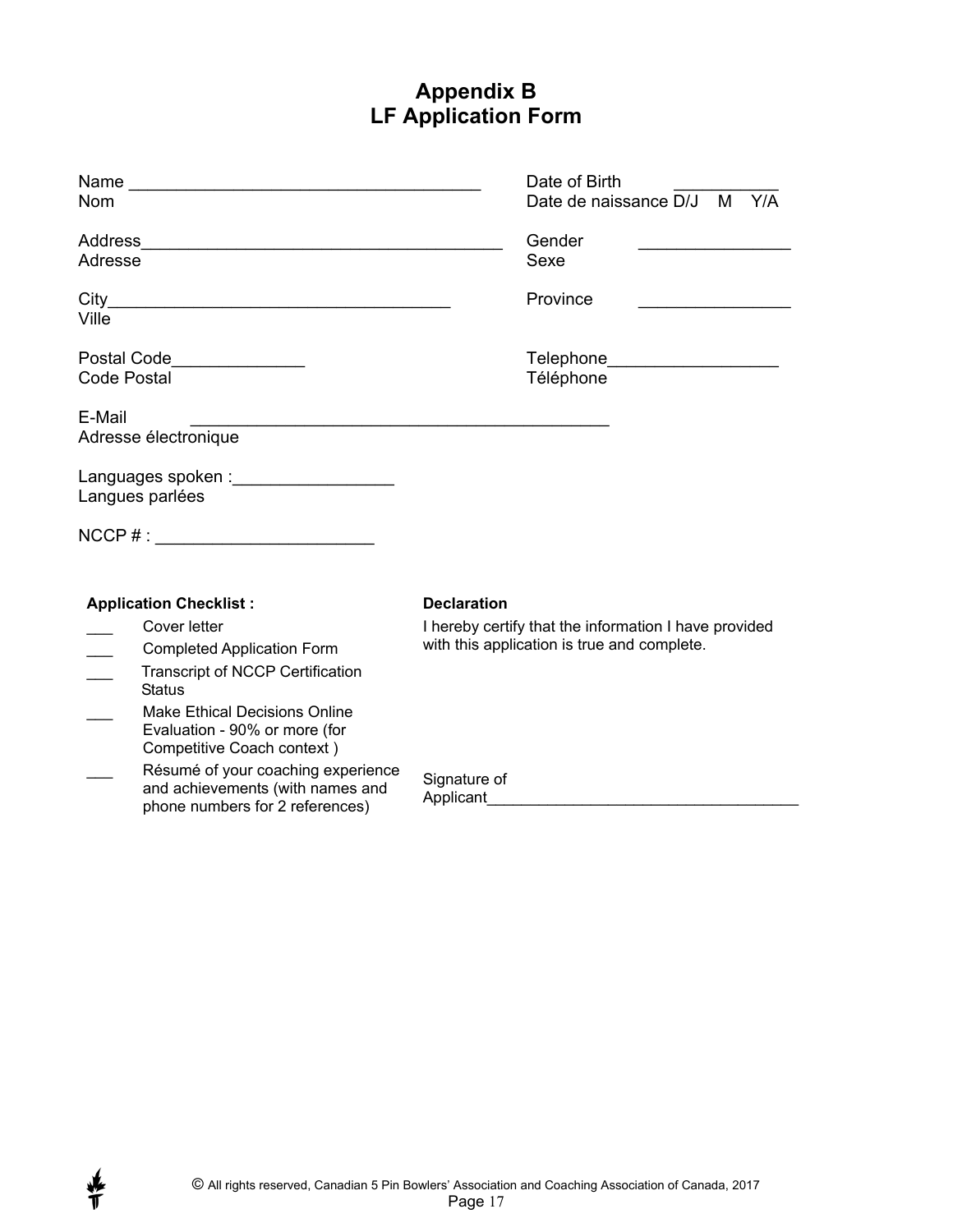## **Appendix B LF Application Form**

|                    |                                                                                                                                                                                                               | Date of Birth                                                                                        |
|--------------------|---------------------------------------------------------------------------------------------------------------------------------------------------------------------------------------------------------------|------------------------------------------------------------------------------------------------------|
| <b>Nom</b>         |                                                                                                                                                                                                               | Date de naissance D/J<br>M<br>Y/A                                                                    |
| Address            |                                                                                                                                                                                                               | Gender                                                                                               |
| Adresse            |                                                                                                                                                                                                               | Sexe                                                                                                 |
| City<br>Ville      |                                                                                                                                                                                                               | Province                                                                                             |
| <b>Code Postal</b> | Postal Code <u>Code</u>                                                                                                                                                                                       | Telephone____________________<br>Téléphone                                                           |
| E-Mail             | Adresse électronique<br>Langues parlées                                                                                                                                                                       |                                                                                                      |
|                    | $NCCP \# :$                                                                                                                                                                                                   |                                                                                                      |
|                    | <b>Application Checklist:</b>                                                                                                                                                                                 | <b>Declaration</b>                                                                                   |
|                    | Cover letter<br><b>Completed Application Form</b><br>Transcript of NCCP Certification<br><b>Status</b><br><b>Make Ethical Decisions Online</b><br>Evaluation - 90% or more (for<br>Competitive Coach context) | I hereby certify that the information I have provided<br>with this application is true and complete. |
|                    | Résumé of your coaching experience<br>and achievements (with names and<br>phone numbers for 2 references)                                                                                                     | Signature of<br>Applicant                                                                            |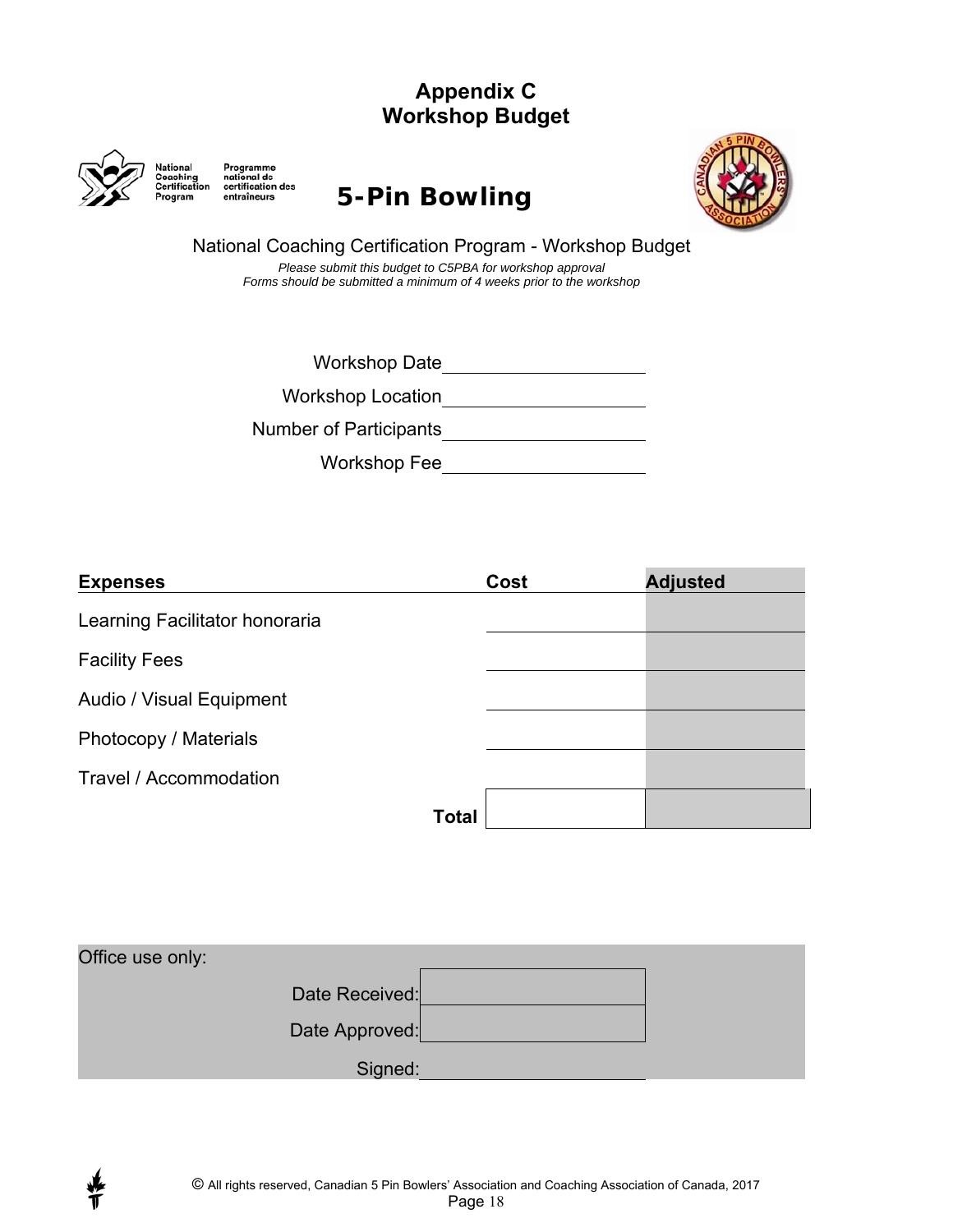## **Appendix C Workshop Budget**



Program

National<br>Coaching<br>Certification entraîneurs

## Programme<br>
national de<br>
certification des<br>
entraîneurs **5 – Pin Bowling**



National Coaching Certification Program - Workshop Budget *Please submit this budget to C5PBA for workshop approval* 

*Forms should be submitted a minimum of 4 weeks prior to the workshop*

Workshop Date\_\_\_\_\_\_\_\_\_\_\_\_\_\_\_\_\_\_\_\_\_\_

Workshop Location

Number of Participants

Workshop Fee

| <b>Expenses</b>                |              | Cost | <b>Adjusted</b> |
|--------------------------------|--------------|------|-----------------|
| Learning Facilitator honoraria |              |      |                 |
| <b>Facility Fees</b>           |              |      |                 |
| Audio / Visual Equipment       |              |      |                 |
| Photocopy / Materials          |              |      |                 |
| Travel / Accommodation         |              |      |                 |
|                                | <b>Total</b> |      |                 |

| Office use only: |         |
|------------------|---------|
| Date Received:   |         |
| Date Approved:   |         |
|                  | Signed: |

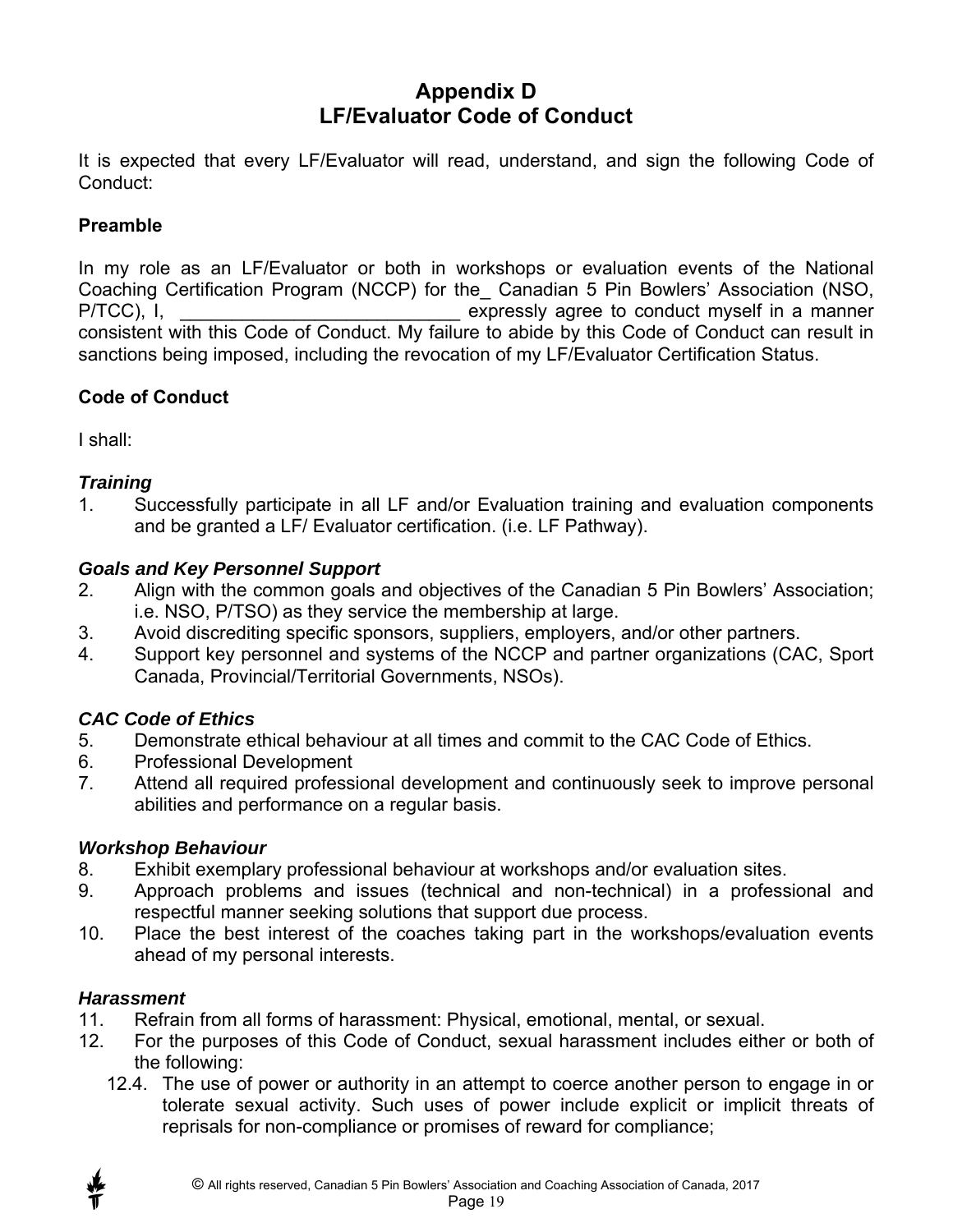### **Appendix D LF/Evaluator Code of Conduct**

It is expected that every LF/Evaluator will read, understand, and sign the following Code of Conduct:

#### **Preamble**

In my role as an LF/Evaluator or both in workshops or evaluation events of the National Coaching Certification Program (NCCP) for the\_ Canadian 5 Pin Bowlers' Association (NSO, P/TCC), I, the conduct myself in a manner expressly agree to conduct myself in a manner consistent with this Code of Conduct. My failure to abide by this Code of Conduct can result in sanctions being imposed, including the revocation of my LF/Evaluator Certification Status.

#### **Code of Conduct**

I shall:

#### *Training*

1. Successfully participate in all LF and/or Evaluation training and evaluation components and be granted a LF/ Evaluator certification. (i.e. LF Pathway).

#### *Goals and Key Personnel Support*

- 2. Align with the common goals and objectives of the Canadian 5 Pin Bowlers' Association; i.e. NSO, P/TSO) as they service the membership at large.
- 3. Avoid discrediting specific sponsors, suppliers, employers, and/or other partners.
- 4. Support key personnel and systems of the NCCP and partner organizations (CAC, Sport Canada, Provincial/Territorial Governments, NSOs).

#### *CAC Code of Ethics*

- 5. Demonstrate ethical behaviour at all times and commit to the CAC Code of Ethics.
- 6. Professional Development
- 7. Attend all required professional development and continuously seek to improve personal abilities and performance on a regular basis.

#### *Workshop Behaviour*

- 8. Exhibit exemplary professional behaviour at workshops and/or evaluation sites.
- 9. Approach problems and issues (technical and non-technical) in a professional and respectful manner seeking solutions that support due process.
- 10. Place the best interest of the coaches taking part in the workshops/evaluation events ahead of my personal interests.

#### *Harassment*

- 11. Refrain from all forms of harassment: Physical, emotional, mental, or sexual.
- 12. For the purposes of this Code of Conduct, sexual harassment includes either or both of the following:
	- 12.4. The use of power or authority in an attempt to coerce another person to engage in or tolerate sexual activity. Such uses of power include explicit or implicit threats of reprisals for non-compliance or promises of reward for compliance;

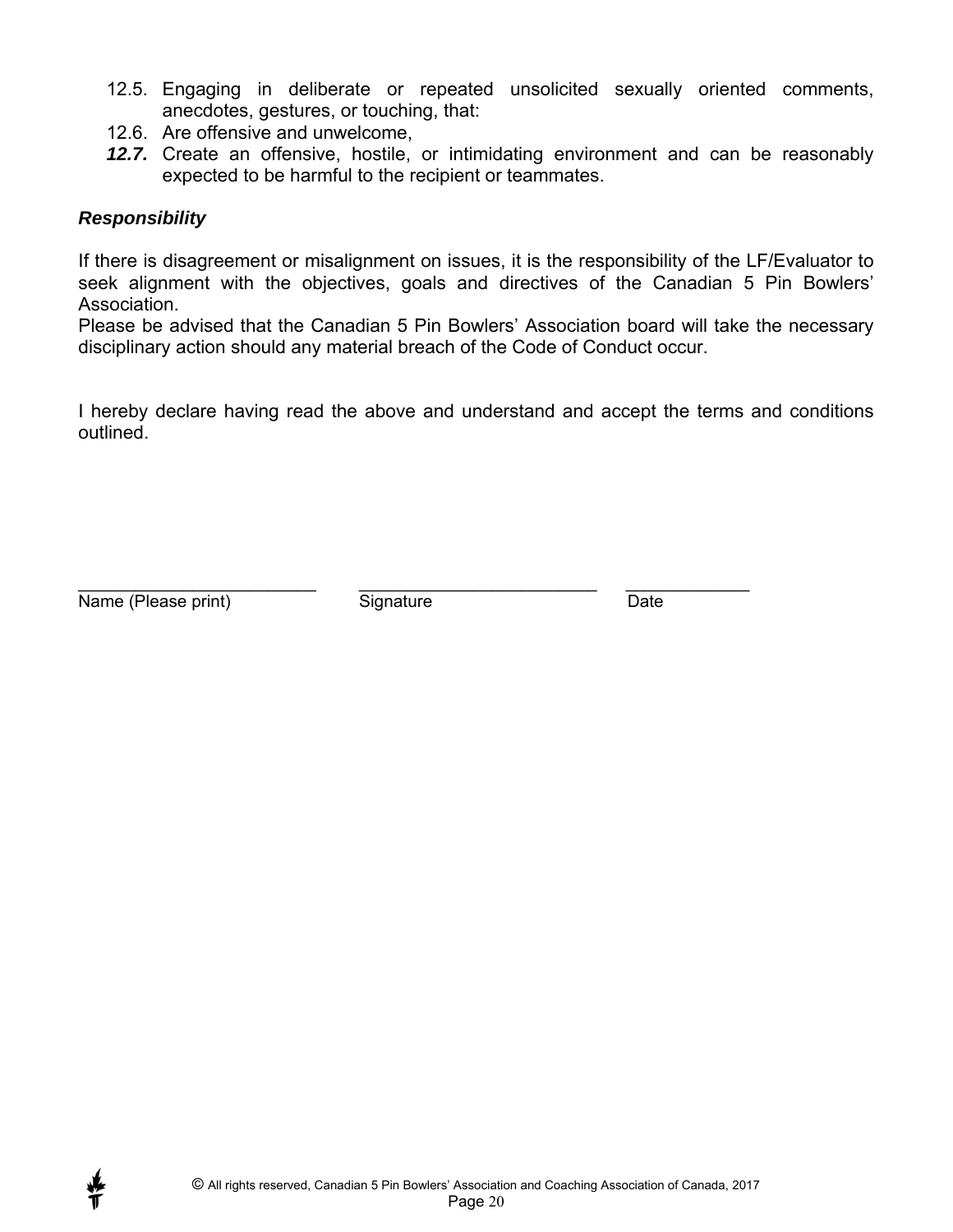- 12.5. Engaging in deliberate or repeated unsolicited sexually oriented comments, anecdotes, gestures, or touching, that:
- 12.6. Are offensive and unwelcome,
- *12.7.* Create an offensive, hostile, or intimidating environment and can be reasonably expected to be harmful to the recipient or teammates.

#### *Responsibility*

If there is disagreement or misalignment on issues, it is the responsibility of the LF/Evaluator to seek alignment with the objectives, goals and directives of the Canadian 5 Pin Bowlers' Association.

Please be advised that the Canadian 5 Pin Bowlers' Association board will take the necessary disciplinary action should any material breach of the Code of Conduct occur.

I hereby declare having read the above and understand and accept the terms and conditions outlined.

Name (Please print) Signature Communication State Communication of the Date

\_\_\_\_\_\_\_\_\_\_\_\_\_\_\_\_\_\_\_\_\_\_\_\_\_ \_\_\_\_\_\_\_\_\_\_\_\_\_\_\_\_\_\_\_\_\_\_\_\_\_ \_\_\_\_\_\_\_\_\_\_\_\_\_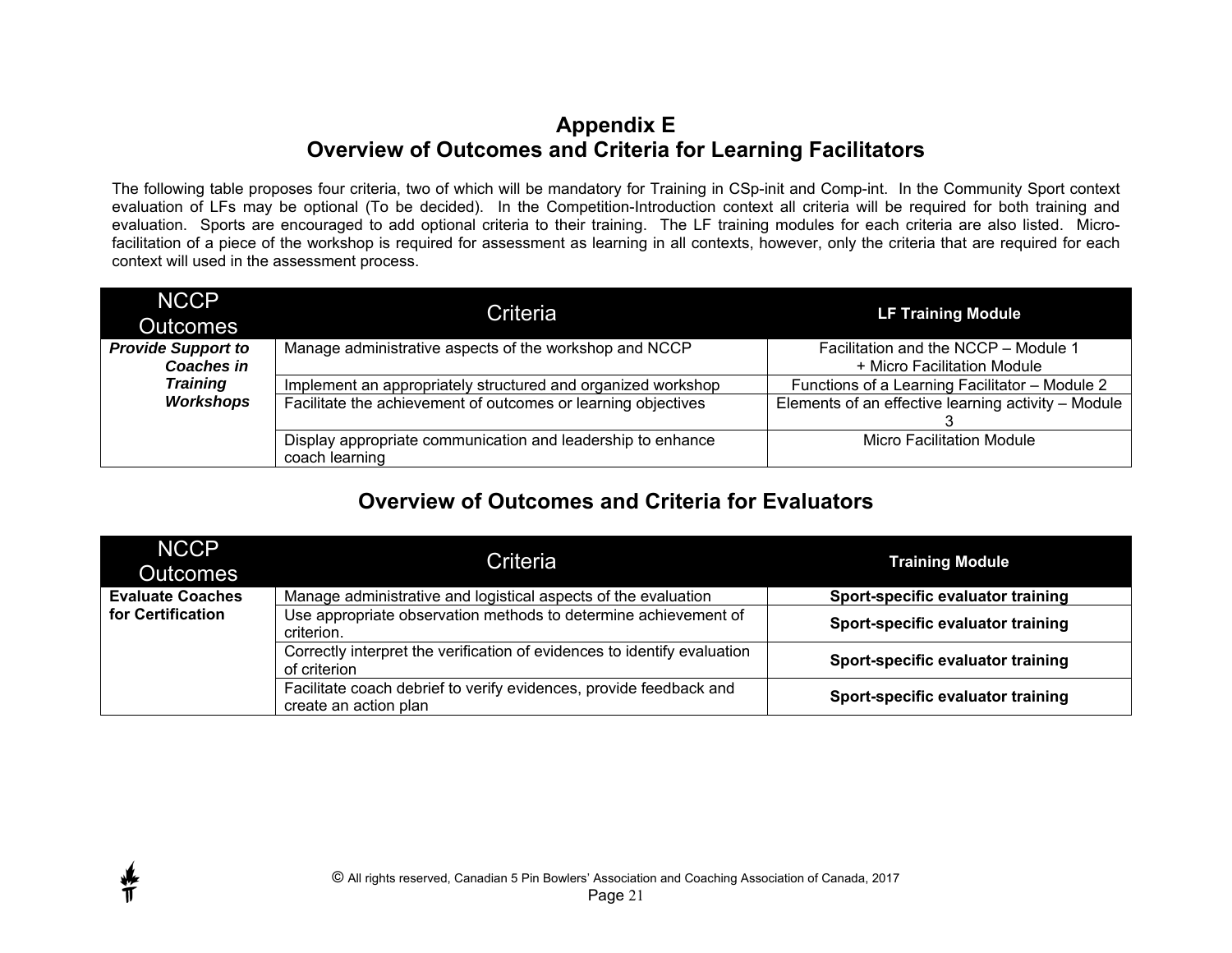#### **Appendix E Overview of Outcomes and Criteria for Learning Facilitators**

The following table proposes four criteria, two of which will be mandatory for Training in CSp-init and Comp-int. In the Community Sport context evaluation of LFs may be optional (To be decided). In the Competition-Introduction context all criteria will be required for both training and evaluation. Sports are encouraged to add optional criteria to their training. The LF training modules for each criteria are also listed. Microfacilitation of a piece of the workshop is required for assessment as learning in all contexts, however, only the criteria that are required for each context will used in the assessment process.

| <b>NCCP</b><br><b>Outcomes</b>                 | Criteria                                                                      | <b>LF Training Module</b>                                           |
|------------------------------------------------|-------------------------------------------------------------------------------|---------------------------------------------------------------------|
| <b>Provide Support to</b><br><b>Coaches in</b> | Manage administrative aspects of the workshop and NCCP                        | Facilitation and the NCCP - Module 1<br>+ Micro Facilitation Module |
| <b>Training</b>                                | Implement an appropriately structured and organized workshop                  | Functions of a Learning Facilitator - Module 2                      |
| <b>Workshops</b>                               | Facilitate the achievement of outcomes or learning objectives                 | Elements of an effective learning activity - Module                 |
|                                                | Display appropriate communication and leadership to enhance<br>coach learning | <b>Micro Facilitation Module</b>                                    |

## **Overview of Outcomes and Criteria for Evaluators**

| <b>NCCP</b><br><b>Outcomes</b> | Criteria                                                                                    | <b>Training Module</b>            |
|--------------------------------|---------------------------------------------------------------------------------------------|-----------------------------------|
| <b>Evaluate Coaches</b>        | Manage administrative and logistical aspects of the evaluation                              | Sport-specific evaluator training |
| for Certification              | Use appropriate observation methods to determine achievement of<br>criterion.               | Sport-specific evaluator training |
|                                | Correctly interpret the verification of evidences to identify evaluation<br>of criterion    | Sport-specific evaluator training |
|                                | Facilitate coach debrief to verify evidences, provide feedback and<br>create an action plan | Sport-specific evaluator training |



普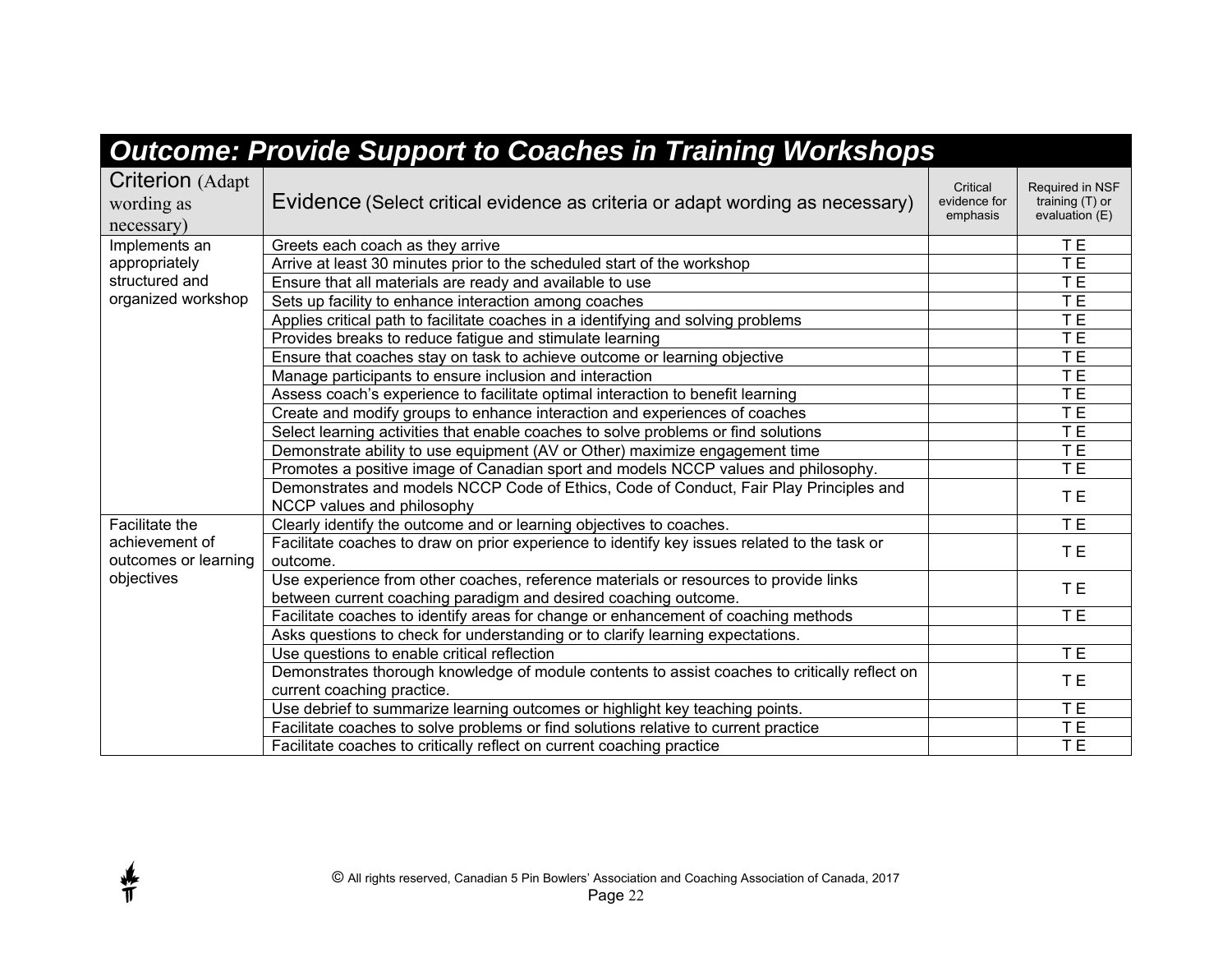|                                                     | <b>Outcome: Provide Support to Coaches in Training Workshops</b>                                                                                        |                                      |                                                        |
|-----------------------------------------------------|---------------------------------------------------------------------------------------------------------------------------------------------------------|--------------------------------------|--------------------------------------------------------|
| <b>Criterion</b> (Adapt<br>wording as<br>necessary) | Evidence (Select critical evidence as criteria or adapt wording as necessary)                                                                           | Critical<br>evidence for<br>emphasis | Required in NSF<br>training $(T)$ or<br>evaluation (E) |
| Implements an                                       | Greets each coach as they arrive                                                                                                                        |                                      | T <sub>E</sub>                                         |
| appropriately                                       | Arrive at least 30 minutes prior to the scheduled start of the workshop                                                                                 |                                      | T E                                                    |
| structured and                                      | Ensure that all materials are ready and available to use                                                                                                |                                      | TE                                                     |
| organized workshop                                  | Sets up facility to enhance interaction among coaches                                                                                                   |                                      | T E                                                    |
|                                                     | Applies critical path to facilitate coaches in a identifying and solving problems                                                                       |                                      | T E                                                    |
|                                                     | Provides breaks to reduce fatigue and stimulate learning                                                                                                |                                      | TE                                                     |
|                                                     | Ensure that coaches stay on task to achieve outcome or learning objective                                                                               |                                      | TE <sub></sub>                                         |
|                                                     | Manage participants to ensure inclusion and interaction                                                                                                 |                                      | T <sub>E</sub>                                         |
|                                                     | Assess coach's experience to facilitate optimal interaction to benefit learning                                                                         |                                      | TE                                                     |
|                                                     | Create and modify groups to enhance interaction and experiences of coaches                                                                              |                                      | T E                                                    |
|                                                     | Select learning activities that enable coaches to solve problems or find solutions                                                                      |                                      | TE                                                     |
|                                                     | Demonstrate ability to use equipment (AV or Other) maximize engagement time                                                                             |                                      | T <sub>E</sub>                                         |
|                                                     | Promotes a positive image of Canadian sport and models NCCP values and philosophy.                                                                      |                                      | T E                                                    |
|                                                     | Demonstrates and models NCCP Code of Ethics, Code of Conduct, Fair Play Principles and<br>NCCP values and philosophy                                    |                                      | T <sub>E</sub>                                         |
| <b>Facilitate the</b>                               | Clearly identify the outcome and or learning objectives to coaches.                                                                                     |                                      | <b>TE</b>                                              |
| achievement of<br>outcomes or learning              | Facilitate coaches to draw on prior experience to identify key issues related to the task or<br>outcome.                                                |                                      | <b>TE</b>                                              |
| objectives                                          | Use experience from other coaches, reference materials or resources to provide links<br>between current coaching paradigm and desired coaching outcome. |                                      | T E                                                    |
|                                                     | Facilitate coaches to identify areas for change or enhancement of coaching methods                                                                      |                                      | <b>TE</b>                                              |
|                                                     | Asks questions to check for understanding or to clarify learning expectations.                                                                          |                                      |                                                        |
|                                                     | Use questions to enable critical reflection                                                                                                             |                                      | TE                                                     |
|                                                     | Demonstrates thorough knowledge of module contents to assist coaches to critically reflect on<br>current coaching practice.                             |                                      | T E                                                    |
|                                                     | Use debrief to summarize learning outcomes or highlight key teaching points.                                                                            |                                      | T <sub>E</sub>                                         |
|                                                     | Facilitate coaches to solve problems or find solutions relative to current practice                                                                     |                                      | TE                                                     |
|                                                     | Facilitate coaches to critically reflect on current coaching practice                                                                                   |                                      | TE.                                                    |



∯<br>T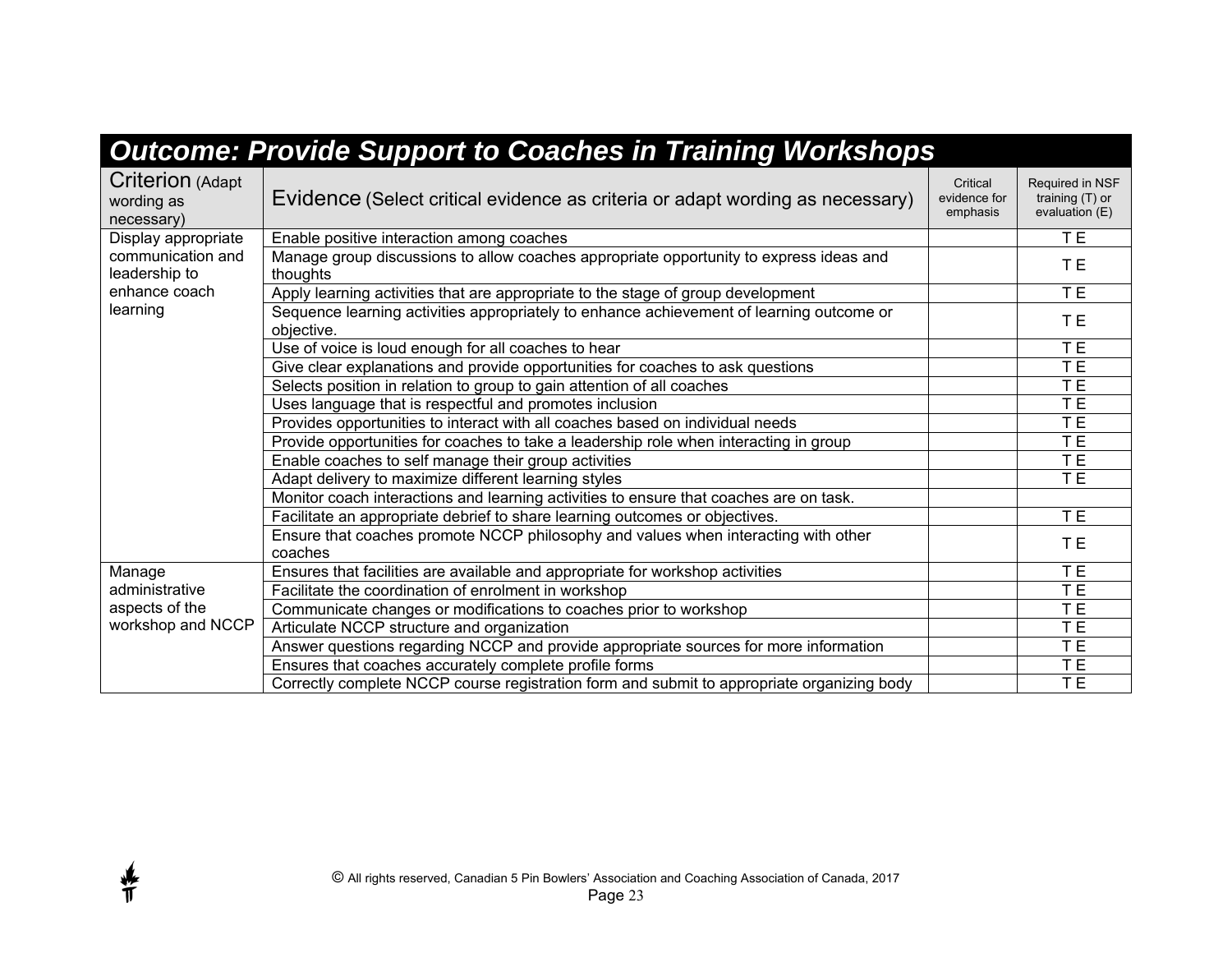|                                                     | <b>Outcome: Provide Support to Coaches in Training Workshops</b>                                       |                                      |                                                        |
|-----------------------------------------------------|--------------------------------------------------------------------------------------------------------|--------------------------------------|--------------------------------------------------------|
| <b>Criterion (Adapt</b><br>wording as<br>necessary) | Evidence (Select critical evidence as criteria or adapt wording as necessary)                          | Critical<br>evidence for<br>emphasis | Required in NSF<br>training $(T)$ or<br>evaluation (E) |
| Display appropriate                                 | Enable positive interaction among coaches                                                              |                                      | TE                                                     |
| communication and<br>leadership to                  | Manage group discussions to allow coaches appropriate opportunity to express ideas and<br>thoughts     |                                      | TЕ                                                     |
| enhance coach                                       | Apply learning activities that are appropriate to the stage of group development                       |                                      | TE <sub></sub>                                         |
| learning                                            | Sequence learning activities appropriately to enhance achievement of learning outcome or<br>objective. |                                      | T E                                                    |
|                                                     | Use of voice is loud enough for all coaches to hear                                                    |                                      | T <sub>E</sub>                                         |
|                                                     | Give clear explanations and provide opportunities for coaches to ask questions                         |                                      | T <sub>E</sub>                                         |
|                                                     | Selects position in relation to group to gain attention of all coaches                                 |                                      | T E                                                    |
|                                                     | Uses language that is respectful and promotes inclusion                                                |                                      | T E                                                    |
|                                                     | Provides opportunities to interact with all coaches based on individual needs                          |                                      | T E                                                    |
|                                                     | Provide opportunities for coaches to take a leadership role when interacting in group                  |                                      | TE                                                     |
|                                                     | Enable coaches to self manage their group activities                                                   |                                      | TE                                                     |
|                                                     | Adapt delivery to maximize different learning styles                                                   |                                      | TE <sub></sub>                                         |
|                                                     | Monitor coach interactions and learning activities to ensure that coaches are on task.                 |                                      |                                                        |
|                                                     | Facilitate an appropriate debrief to share learning outcomes or objectives.                            |                                      | TE <sub></sub>                                         |
|                                                     | Ensure that coaches promote NCCP philosophy and values when interacting with other<br>coaches          |                                      | T E                                                    |
| Manage                                              | Ensures that facilities are available and appropriate for workshop activities                          |                                      | T E                                                    |
| administrative                                      | Facilitate the coordination of enrolment in workshop                                                   |                                      | $\overline{\mathsf{T}}$ E                              |
| aspects of the                                      | Communicate changes or modifications to coaches prior to workshop                                      |                                      | T <sub>E</sub>                                         |
| workshop and NCCP                                   | Articulate NCCP structure and organization                                                             |                                      | T E                                                    |
|                                                     | Answer questions regarding NCCP and provide appropriate sources for more information                   |                                      | TE                                                     |
|                                                     | Ensures that coaches accurately complete profile forms                                                 |                                      | <b>TE</b>                                              |
|                                                     | Correctly complete NCCP course registration form and submit to appropriate organizing body             |                                      | TE <sub></sub>                                         |

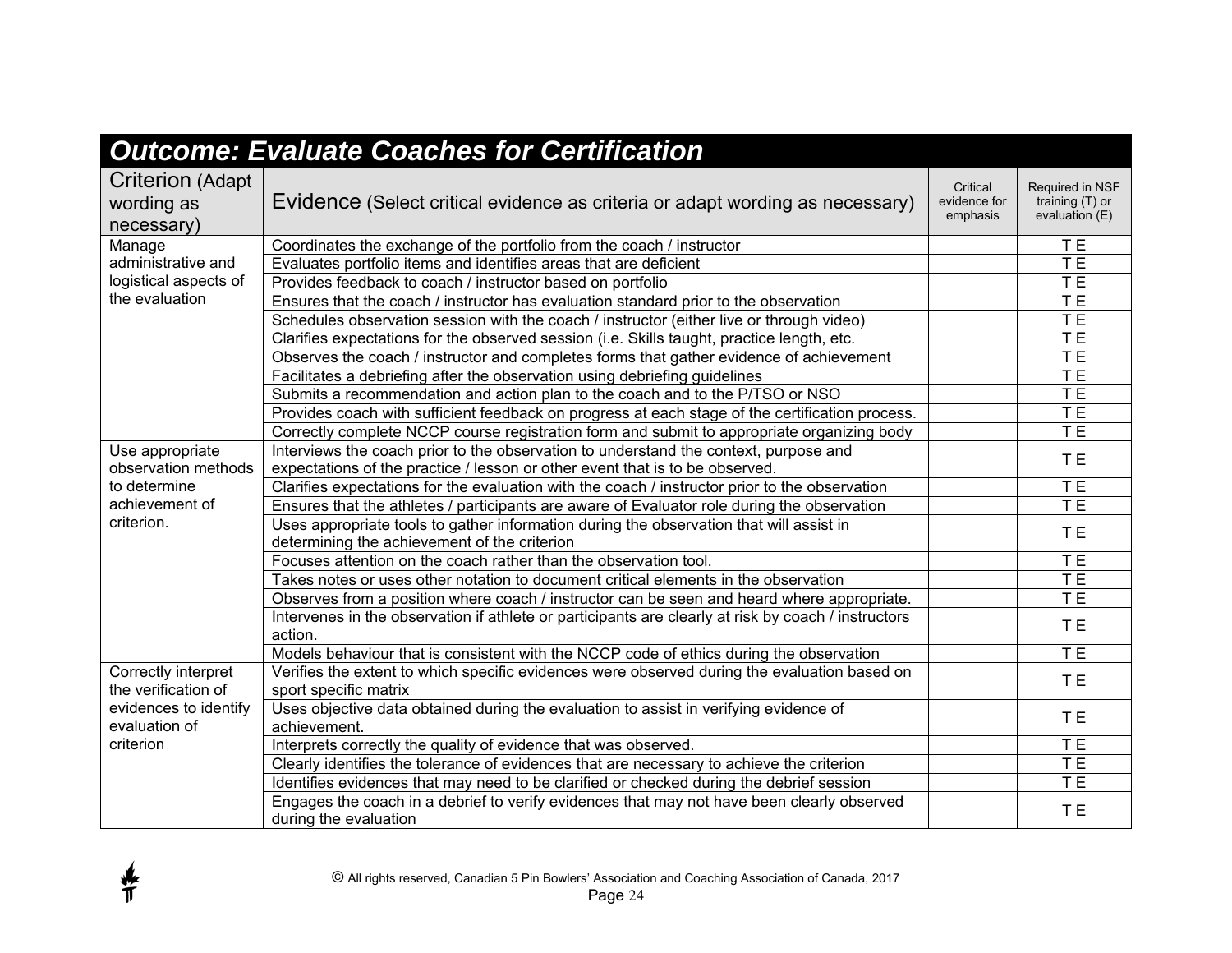| <b>Outcome: Evaluate Coaches for Certification</b>                      |                                                                                                                       |                                      |                                                      |  |  |
|-------------------------------------------------------------------------|-----------------------------------------------------------------------------------------------------------------------|--------------------------------------|------------------------------------------------------|--|--|
| Criterion (Adapt<br>wording as<br>necessary)                            | Evidence (Select critical evidence as criteria or adapt wording as necessary)                                         | Critical<br>evidence for<br>emphasis | Required in NSF<br>training (T) or<br>evaluation (E) |  |  |
| Manage<br>administrative and<br>logistical aspects of<br>the evaluation | Coordinates the exchange of the portfolio from the coach / instructor                                                 |                                      | TE <sub></sub>                                       |  |  |
|                                                                         | Evaluates portfolio items and identifies areas that are deficient                                                     |                                      | TE <sub></sub>                                       |  |  |
|                                                                         | Provides feedback to coach / instructor based on portfolio                                                            |                                      | TE                                                   |  |  |
|                                                                         | Ensures that the coach / instructor has evaluation standard prior to the observation                                  |                                      | TE                                                   |  |  |
|                                                                         | Schedules observation session with the coach / instructor (either live or through video)                              |                                      | TE                                                   |  |  |
|                                                                         | Clarifies expectations for the observed session (i.e. Skills taught, practice length, etc.                            |                                      | TE                                                   |  |  |
|                                                                         | Observes the coach / instructor and completes forms that gather evidence of achievement                               |                                      | TE                                                   |  |  |
|                                                                         | Facilitates a debriefing after the observation using debriefing guidelines                                            |                                      | TE                                                   |  |  |
|                                                                         | Submits a recommendation and action plan to the coach and to the P/TSO or NSO                                         |                                      | TE <sub></sub>                                       |  |  |
|                                                                         | Provides coach with sufficient feedback on progress at each stage of the certification process.                       |                                      | TE                                                   |  |  |
|                                                                         | Correctly complete NCCP course registration form and submit to appropriate organizing body                            |                                      | TE                                                   |  |  |
| Use appropriate                                                         | Interviews the coach prior to the observation to understand the context, purpose and                                  |                                      | TE <sub></sub>                                       |  |  |
| observation methods                                                     | expectations of the practice / lesson or other event that is to be observed.                                          |                                      |                                                      |  |  |
| to determine                                                            | Clarifies expectations for the evaluation with the coach / instructor prior to the observation                        |                                      | TE                                                   |  |  |
| achievement of                                                          | Ensures that the athletes / participants are aware of Evaluator role during the observation                           |                                      | T E                                                  |  |  |
| criterion.                                                              | Uses appropriate tools to gather information during the observation that will assist in                               |                                      | TE <sub></sub>                                       |  |  |
|                                                                         | determining the achievement of the criterion                                                                          |                                      |                                                      |  |  |
|                                                                         | Focuses attention on the coach rather than the observation tool.                                                      |                                      | TE                                                   |  |  |
|                                                                         | Takes notes or uses other notation to document critical elements in the observation                                   |                                      | TE                                                   |  |  |
|                                                                         | Observes from a position where coach / instructor can be seen and heard where appropriate.                            |                                      | TE                                                   |  |  |
|                                                                         | Intervenes in the observation if athlete or participants are clearly at risk by coach / instructors<br>action.        |                                      | TE <sub></sub>                                       |  |  |
|                                                                         | Models behaviour that is consistent with the NCCP code of ethics during the observation                               |                                      | T E                                                  |  |  |
|                                                                         |                                                                                                                       |                                      |                                                      |  |  |
| Correctly interpret<br>the verification of                              | Verifies the extent to which specific evidences were observed during the evaluation based on<br>sport specific matrix |                                      | T <sub>E</sub>                                       |  |  |
| evidences to identify                                                   | Uses objective data obtained during the evaluation to assist in verifying evidence of                                 |                                      |                                                      |  |  |
| evaluation of                                                           | achievement.                                                                                                          |                                      | TE.                                                  |  |  |
| criterion                                                               | Interprets correctly the quality of evidence that was observed.                                                       |                                      | TE <sub></sub>                                       |  |  |
|                                                                         | Clearly identifies the tolerance of evidences that are necessary to achieve the criterion                             |                                      | T E                                                  |  |  |
|                                                                         | Identifies evidences that may need to be clarified or checked during the debrief session                              |                                      | T <sub>E</sub>                                       |  |  |
|                                                                         | Engages the coach in a debrief to verify evidences that may not have been clearly observed<br>during the evaluation   |                                      | T E                                                  |  |  |

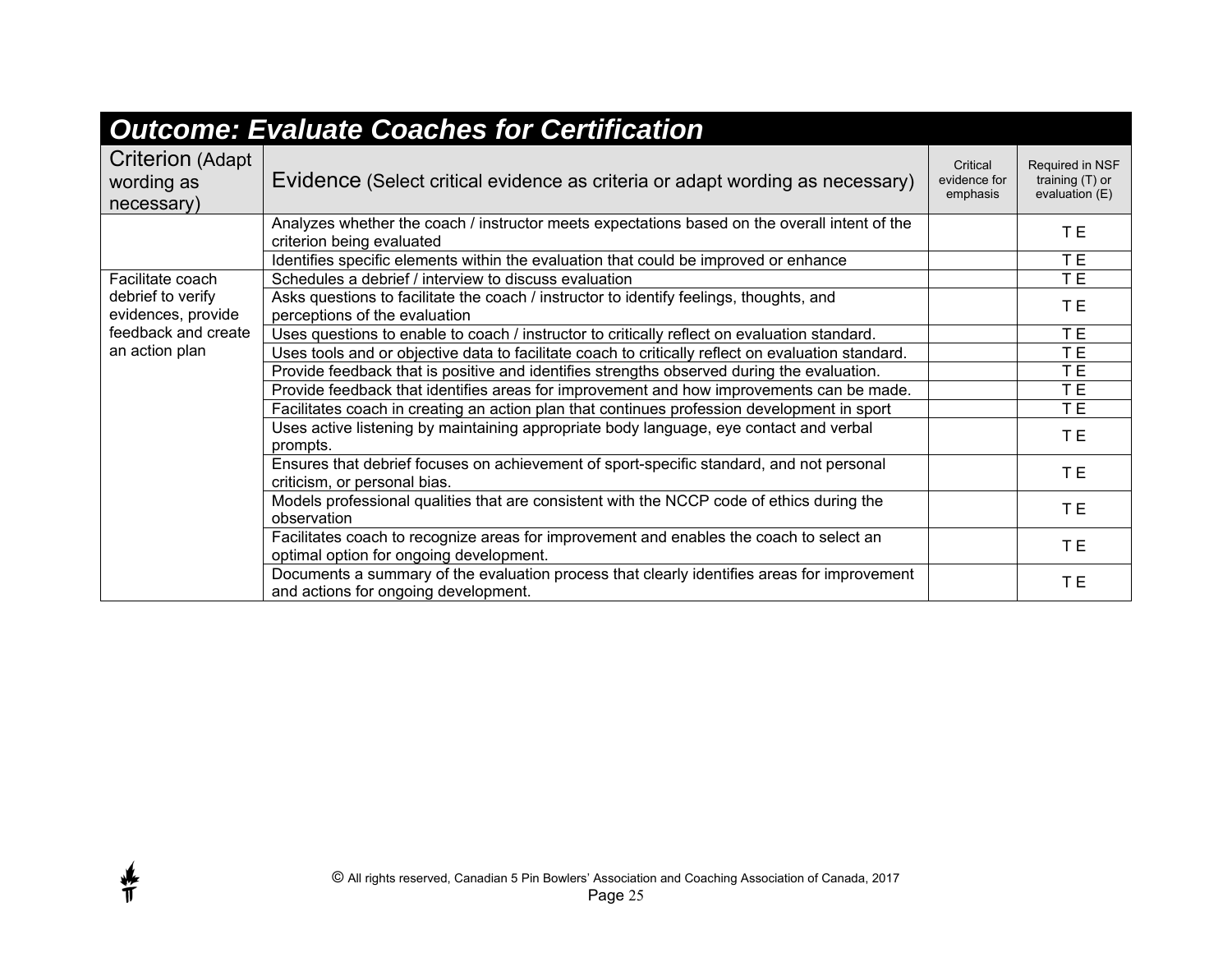| <b>Outcome: Evaluate Coaches for Certification</b>                                                   |                                                                                                                                     |                                      |                                                        |  |  |
|------------------------------------------------------------------------------------------------------|-------------------------------------------------------------------------------------------------------------------------------------|--------------------------------------|--------------------------------------------------------|--|--|
| <b>Criterion (Adapt</b><br>wording as<br>necessary)                                                  | Evidence (Select critical evidence as criteria or adapt wording as necessary)                                                       | Critical<br>evidence for<br>emphasis | Required in NSF<br>training $(T)$ or<br>evaluation (E) |  |  |
|                                                                                                      | Analyzes whether the coach / instructor meets expectations based on the overall intent of the<br>criterion being evaluated          |                                      | T E                                                    |  |  |
|                                                                                                      | Identifies specific elements within the evaluation that could be improved or enhance                                                |                                      | T E                                                    |  |  |
| Facilitate coach<br>debrief to verify<br>evidences, provide<br>feedback and create<br>an action plan | Schedules a debrief / interview to discuss evaluation                                                                               |                                      | T E                                                    |  |  |
|                                                                                                      | Asks questions to facilitate the coach / instructor to identify feelings, thoughts, and<br>perceptions of the evaluation            |                                      | T E                                                    |  |  |
|                                                                                                      | Uses questions to enable to coach / instructor to critically reflect on evaluation standard.                                        |                                      | TE <sub></sub>                                         |  |  |
|                                                                                                      | Uses tools and or objective data to facilitate coach to critically reflect on evaluation standard.                                  |                                      | TE                                                     |  |  |
|                                                                                                      | Provide feedback that is positive and identifies strengths observed during the evaluation.                                          |                                      | TE.                                                    |  |  |
|                                                                                                      | Provide feedback that identifies areas for improvement and how improvements can be made.                                            |                                      | TE <sub></sub>                                         |  |  |
|                                                                                                      | Facilitates coach in creating an action plan that continues profession development in sport                                         |                                      | TE <sub></sub>                                         |  |  |
|                                                                                                      | Uses active listening by maintaining appropriate body language, eye contact and verbal<br>prompts.                                  |                                      | TE <sub></sub>                                         |  |  |
|                                                                                                      | Ensures that debrief focuses on achievement of sport-specific standard, and not personal<br>criticism, or personal bias.            |                                      | T E                                                    |  |  |
|                                                                                                      | Models professional qualities that are consistent with the NCCP code of ethics during the<br>observation                            |                                      | TE <sub></sub>                                         |  |  |
|                                                                                                      | Facilitates coach to recognize areas for improvement and enables the coach to select an<br>optimal option for ongoing development.  |                                      | TE <sub></sub>                                         |  |  |
|                                                                                                      | Documents a summary of the evaluation process that clearly identifies areas for improvement<br>and actions for ongoing development. |                                      | T E                                                    |  |  |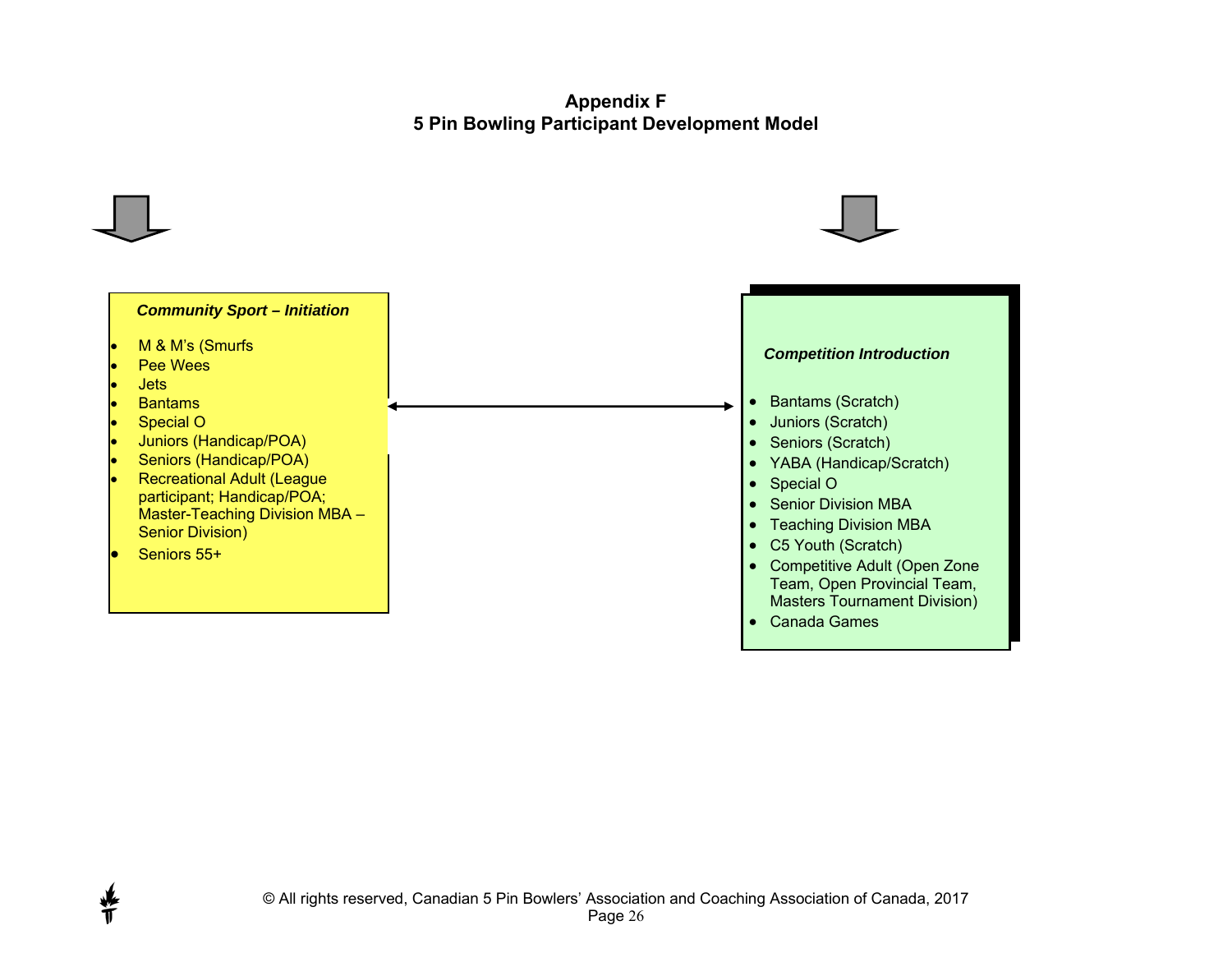#### **Appendix F 5 Pin Bowling Participant Development Model**



许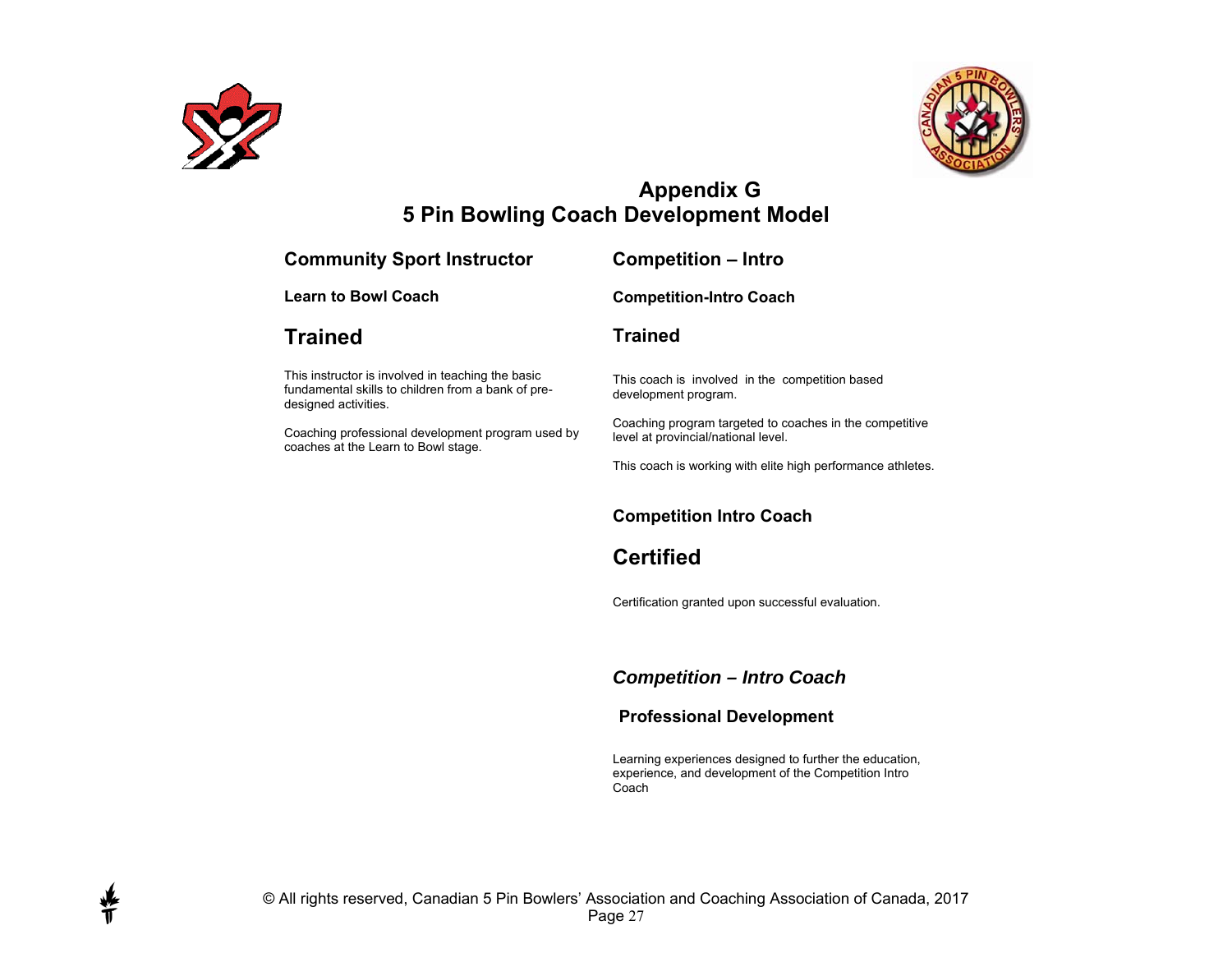

∯



## **Appendix G 5 Pin Bowling Coach Development Model**

| <b>Community Sport Instructor</b>                                                                                               | <b>Competition - Intro</b>                                                                     |
|---------------------------------------------------------------------------------------------------------------------------------|------------------------------------------------------------------------------------------------|
| <b>Learn to Bowl Coach</b>                                                                                                      | <b>Competition-Intro Coach</b>                                                                 |
| Trained                                                                                                                         | <b>Trained</b>                                                                                 |
| This instructor is involved in teaching the basic<br>fundamental skills to children from a bank of pre-<br>designed activities. | This coach is involved in the competition based<br>development program.                        |
| Coaching professional development program used by<br>coaches at the Learn to Bowl stage.                                        | Coaching program targeted to coaches in the competitive<br>level at provincial/national level. |
|                                                                                                                                 | This coach is working with elite high performance athletes.                                    |
|                                                                                                                                 | <b>Competition Intro Coach</b>                                                                 |
|                                                                                                                                 | <b>Certified</b>                                                                               |
|                                                                                                                                 | Certification granted upon successful evaluation.                                              |

*Competition – Intro Coach*

#### **Professional Development**

Learning experiences designed to further the education, experience, and development of the Competition Intro **Coach**